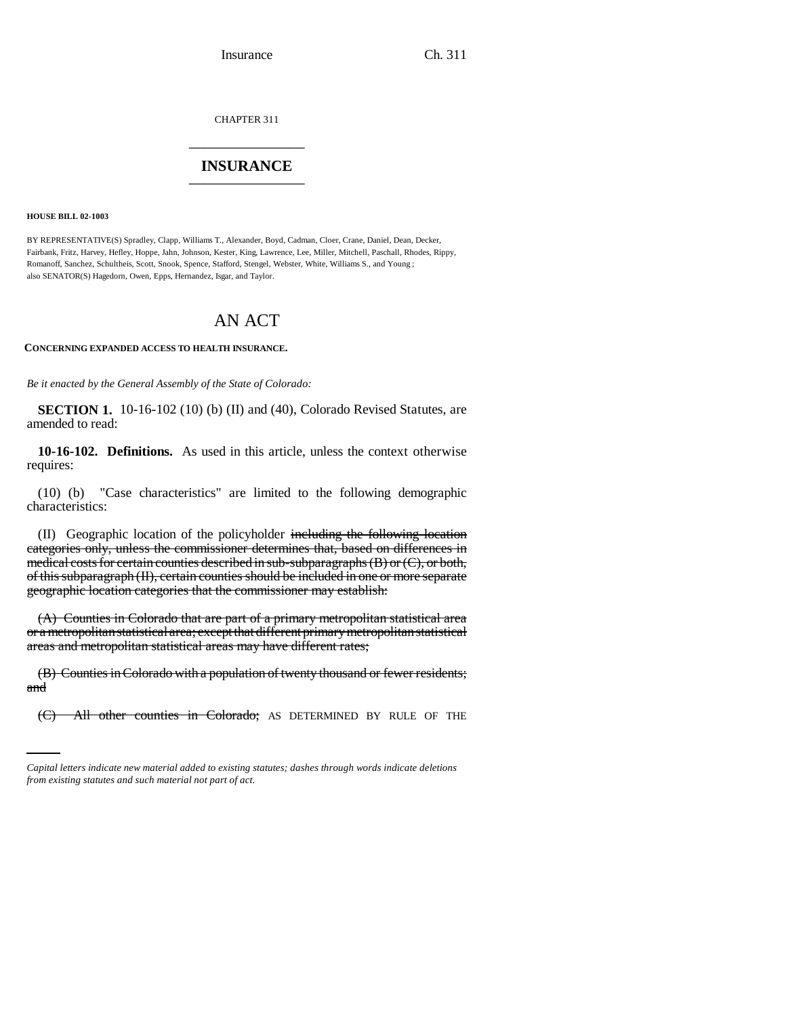CHAPTER 311 \_\_\_\_\_\_\_\_\_\_\_\_\_\_\_

## **INSURANCE** \_\_\_\_\_\_\_\_\_\_\_\_\_\_\_

**HOUSE BILL 02-1003**

BY REPRESENTATIVE(S) Spradley, Clapp, Williams T., Alexander, Boyd, Cadman, Cloer, Crane, Daniel, Dean, Decker, Fairbank, Fritz, Harvey, Hefley, Hoppe, Jahn, Johnson, Kester, King, Lawrence, Lee, Miller, Mitchell, Paschall, Rhodes, Rippy, Romanoff, Sanchez, Schultheis, Scott, Snook, Spence, Stafford, Stengel, Webster, White, Williams S., and Young ; also SENATOR(S) Hagedorn, Owen, Epps, Hernandez, Isgar, and Taylor.

# AN ACT

**CONCERNING EXPANDED ACCESS TO HEALTH INSURANCE.**

*Be it enacted by the General Assembly of the State of Colorado:*

**SECTION 1.** 10-16-102 (10) (b) (II) and (40), Colorado Revised Statutes, are amended to read:

**10-16-102. Definitions.** As used in this article, unless the context otherwise requires:

(10) (b) "Case characteristics" are limited to the following demographic characteristics:

(II) Geographic location of the policyholder including the following location categories only, unless the commissioner determines that, based on differences in medical costs for certain counties described in sub-subparagraphs  $(B)$  or  $(C)$ , or both, of this subparagraph (II), certain counties should be included in one or more separate geographic location categories that the commissioner may establish:

(A) Counties in Colorado that are part of a primary metropolitan statistical area or a metropolitan statistical area; except that different primary metropolitan statistical areas and metropolitan statistical areas may have different rates;

and in (B) Counties in Colorado with a population of twenty thousand or fewer residents;

(C) All other counties in Colorado; AS DETERMINED BY RULE OF THE

*Capital letters indicate new material added to existing statutes; dashes through words indicate deletions from existing statutes and such material not part of act.*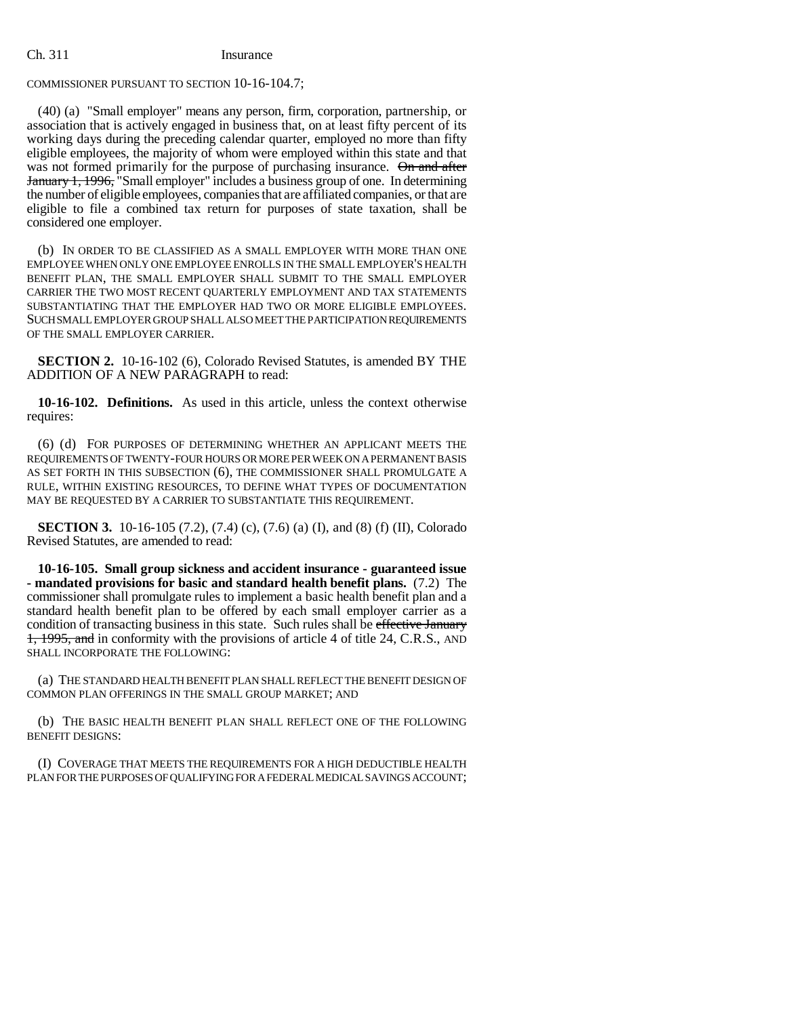### COMMISSIONER PURSUANT TO SECTION 10-16-104.7;

(40) (a) "Small employer" means any person, firm, corporation, partnership, or association that is actively engaged in business that, on at least fifty percent of its working days during the preceding calendar quarter, employed no more than fifty eligible employees, the majority of whom were employed within this state and that was not formed primarily for the purpose of purchasing insurance. On and after January 1, 1996, "Small employer" includes a business group of one. In determining the number of eligible employees, companies that are affiliated companies, or that are eligible to file a combined tax return for purposes of state taxation, shall be considered one employer.

(b) IN ORDER TO BE CLASSIFIED AS A SMALL EMPLOYER WITH MORE THAN ONE EMPLOYEE WHEN ONLY ONE EMPLOYEE ENROLLS IN THE SMALL EMPLOYER'S HEALTH BENEFIT PLAN, THE SMALL EMPLOYER SHALL SUBMIT TO THE SMALL EMPLOYER CARRIER THE TWO MOST RECENT QUARTERLY EMPLOYMENT AND TAX STATEMENTS SUBSTANTIATING THAT THE EMPLOYER HAD TWO OR MORE ELIGIBLE EMPLOYEES. SUCH SMALL EMPLOYER GROUP SHALL ALSO MEET THE PARTICIPATION REQUIREMENTS OF THE SMALL EMPLOYER CARRIER.

**SECTION 2.** 10-16-102 (6), Colorado Revised Statutes, is amended BY THE ADDITION OF A NEW PARAGRAPH to read:

**10-16-102. Definitions.** As used in this article, unless the context otherwise requires:

(6) (d) FOR PURPOSES OF DETERMINING WHETHER AN APPLICANT MEETS THE REQUIREMENTS OF TWENTY-FOUR HOURS OR MORE PER WEEK ON A PERMANENT BASIS AS SET FORTH IN THIS SUBSECTION (6), THE COMMISSIONER SHALL PROMULGATE A RULE, WITHIN EXISTING RESOURCES, TO DEFINE WHAT TYPES OF DOCUMENTATION MAY BE REQUESTED BY A CARRIER TO SUBSTANTIATE THIS REQUIREMENT.

**SECTION 3.** 10-16-105 (7.2), (7.4) (c), (7.6) (a) (I), and (8) (f) (II), Colorado Revised Statutes, are amended to read:

**10-16-105. Small group sickness and accident insurance - guaranteed issue - mandated provisions for basic and standard health benefit plans.** (7.2) The commissioner shall promulgate rules to implement a basic health benefit plan and a standard health benefit plan to be offered by each small employer carrier as a condition of transacting business in this state. Such rules shall be effective January 1, 1995, and in conformity with the provisions of article 4 of title 24, C.R.S., AND SHALL INCORPORATE THE FOLLOWING:

(a) THE STANDARD HEALTH BENEFIT PLAN SHALL REFLECT THE BENEFIT DESIGN OF COMMON PLAN OFFERINGS IN THE SMALL GROUP MARKET; AND

(b) THE BASIC HEALTH BENEFIT PLAN SHALL REFLECT ONE OF THE FOLLOWING BENEFIT DESIGNS:

(I) COVERAGE THAT MEETS THE REQUIREMENTS FOR A HIGH DEDUCTIBLE HEALTH PLAN FOR THE PURPOSES OF QUALIFYING FOR A FEDERAL MEDICAL SAVINGS ACCOUNT;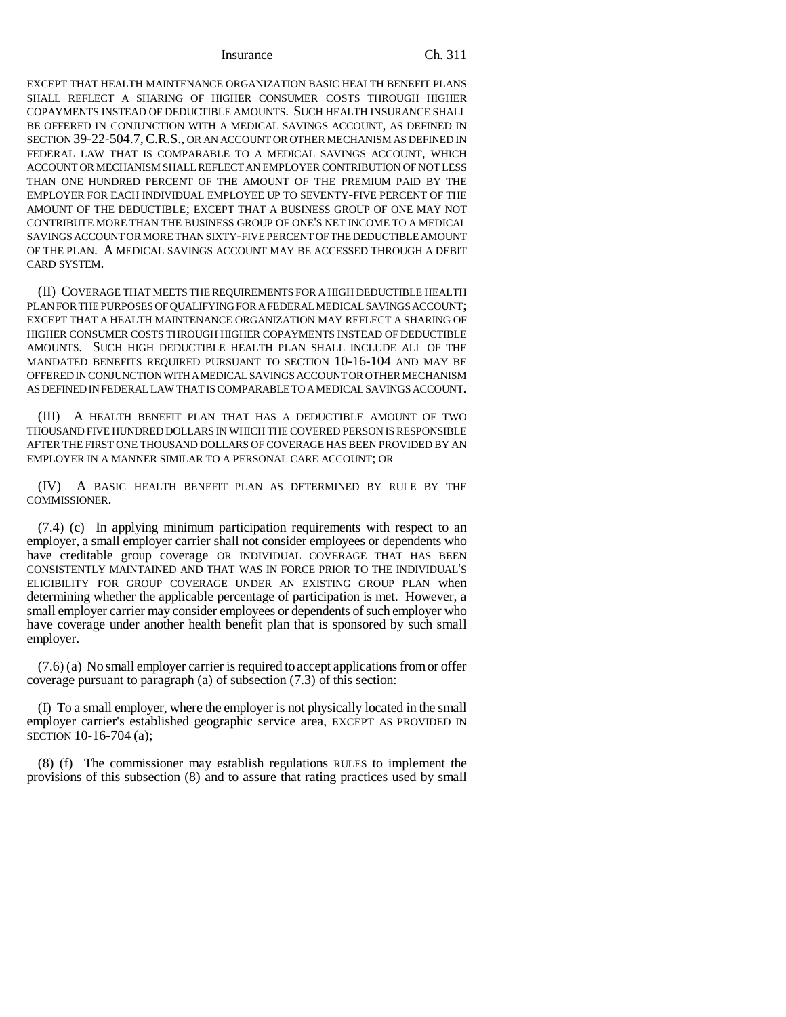EXCEPT THAT HEALTH MAINTENANCE ORGANIZATION BASIC HEALTH BENEFIT PLANS SHALL REFLECT A SHARING OF HIGHER CONSUMER COSTS THROUGH HIGHER COPAYMENTS INSTEAD OF DEDUCTIBLE AMOUNTS. SUCH HEALTH INSURANCE SHALL BE OFFERED IN CONJUNCTION WITH A MEDICAL SAVINGS ACCOUNT, AS DEFINED IN SECTION 39-22-504.7,C.R.S., OR AN ACCOUNT OR OTHER MECHANISM AS DEFINED IN FEDERAL LAW THAT IS COMPARABLE TO A MEDICAL SAVINGS ACCOUNT, WHICH ACCOUNT OR MECHANISM SHALL REFLECT AN EMPLOYER CONTRIBUTION OF NOT LESS THAN ONE HUNDRED PERCENT OF THE AMOUNT OF THE PREMIUM PAID BY THE EMPLOYER FOR EACH INDIVIDUAL EMPLOYEE UP TO SEVENTY-FIVE PERCENT OF THE AMOUNT OF THE DEDUCTIBLE; EXCEPT THAT A BUSINESS GROUP OF ONE MAY NOT CONTRIBUTE MORE THAN THE BUSINESS GROUP OF ONE'S NET INCOME TO A MEDICAL SAVINGS ACCOUNT OR MORE THAN SIXTY-FIVE PERCENT OF THE DEDUCTIBLE AMOUNT OF THE PLAN. A MEDICAL SAVINGS ACCOUNT MAY BE ACCESSED THROUGH A DEBIT CARD SYSTEM.

(II) COVERAGE THAT MEETS THE REQUIREMENTS FOR A HIGH DEDUCTIBLE HEALTH PLAN FOR THE PURPOSES OF QUALIFYING FOR A FEDERAL MEDICAL SAVINGS ACCOUNT; EXCEPT THAT A HEALTH MAINTENANCE ORGANIZATION MAY REFLECT A SHARING OF HIGHER CONSUMER COSTS THROUGH HIGHER COPAYMENTS INSTEAD OF DEDUCTIBLE AMOUNTS. SUCH HIGH DEDUCTIBLE HEALTH PLAN SHALL INCLUDE ALL OF THE MANDATED BENEFITS REQUIRED PURSUANT TO SECTION 10-16-104 AND MAY BE OFFERED IN CONJUNCTION WITH A MEDICAL SAVINGS ACCOUNT OR OTHER MECHANISM AS DEFINED IN FEDERAL LAW THAT IS COMPARABLE TO A MEDICAL SAVINGS ACCOUNT.

(III) A HEALTH BENEFIT PLAN THAT HAS A DEDUCTIBLE AMOUNT OF TWO THOUSAND FIVE HUNDRED DOLLARS IN WHICH THE COVERED PERSON IS RESPONSIBLE AFTER THE FIRST ONE THOUSAND DOLLARS OF COVERAGE HAS BEEN PROVIDED BY AN EMPLOYER IN A MANNER SIMILAR TO A PERSONAL CARE ACCOUNT; OR

(IV) A BASIC HEALTH BENEFIT PLAN AS DETERMINED BY RULE BY THE COMMISSIONER.

(7.4) (c) In applying minimum participation requirements with respect to an employer, a small employer carrier shall not consider employees or dependents who have creditable group coverage OR INDIVIDUAL COVERAGE THAT HAS BEEN CONSISTENTLY MAINTAINED AND THAT WAS IN FORCE PRIOR TO THE INDIVIDUAL'S ELIGIBILITY FOR GROUP COVERAGE UNDER AN EXISTING GROUP PLAN when determining whether the applicable percentage of participation is met. However, a small employer carrier may consider employees or dependents of such employer who have coverage under another health benefit plan that is sponsored by such small employer.

(7.6) (a) No small employer carrier is required to accept applications from or offer coverage pursuant to paragraph (a) of subsection (7.3) of this section:

(I) To a small employer, where the employer is not physically located in the small employer carrier's established geographic service area, EXCEPT AS PROVIDED IN SECTION 10-16-704 (a);

(8) (f) The commissioner may establish regulations RULES to implement the provisions of this subsection (8) and to assure that rating practices used by small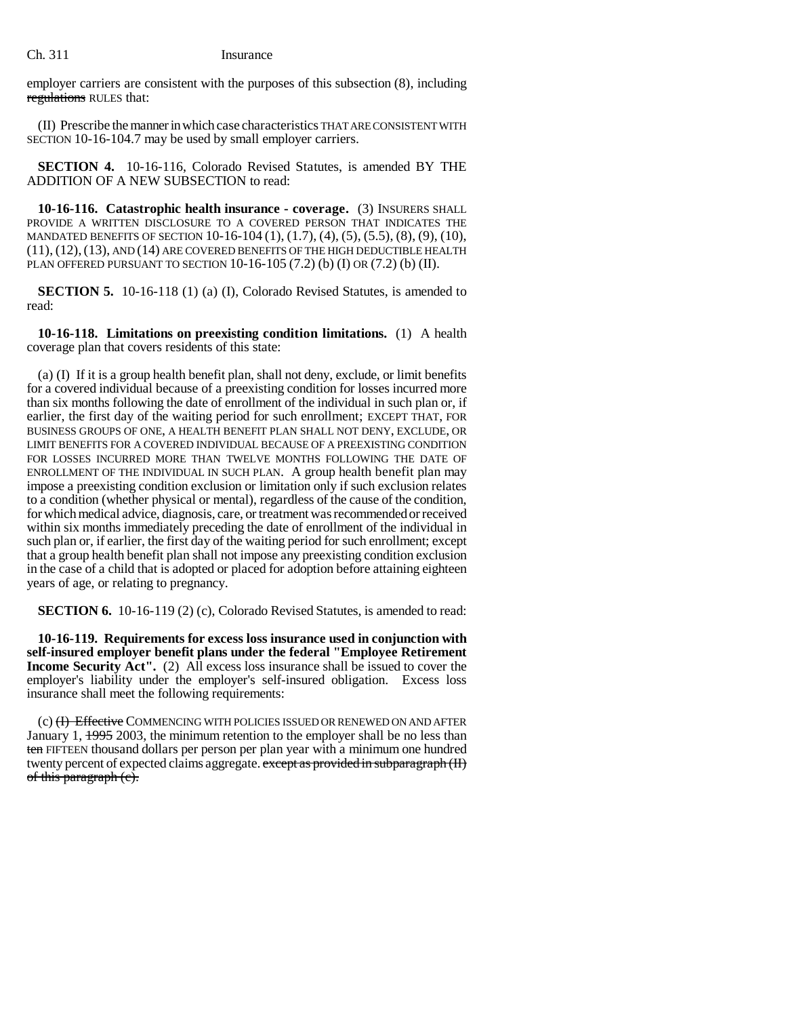employer carriers are consistent with the purposes of this subsection (8), including regulations RULES that:

(II) Prescribe the manner in which case characteristics THAT ARE CONSISTENT WITH SECTION 10-16-104.7 may be used by small employer carriers.

**SECTION 4.** 10-16-116, Colorado Revised Statutes, is amended BY THE ADDITION OF A NEW SUBSECTION to read:

**10-16-116. Catastrophic health insurance - coverage.** (3) INSURERS SHALL PROVIDE A WRITTEN DISCLOSURE TO A COVERED PERSON THAT INDICATES THE MANDATED BENEFITS OF SECTION 10-16-104 (1), (1.7), (4), (5), (5.5), (8), (9), (10), (11), (12),(13), AND (14) ARE COVERED BENEFITS OF THE HIGH DEDUCTIBLE HEALTH PLAN OFFERED PURSUANT TO SECTION  $10-16-105$  (7.2) (b) (I) OR (7.2) (b) (II).

**SECTION 5.** 10-16-118 (1) (a) (I), Colorado Revised Statutes, is amended to read:

**10-16-118. Limitations on preexisting condition limitations.** (1) A health coverage plan that covers residents of this state:

(a) (I) If it is a group health benefit plan, shall not deny, exclude, or limit benefits for a covered individual because of a preexisting condition for losses incurred more than six months following the date of enrollment of the individual in such plan or, if earlier, the first day of the waiting period for such enrollment; EXCEPT THAT, FOR BUSINESS GROUPS OF ONE, A HEALTH BENEFIT PLAN SHALL NOT DENY, EXCLUDE, OR LIMIT BENEFITS FOR A COVERED INDIVIDUAL BECAUSE OF A PREEXISTING CONDITION FOR LOSSES INCURRED MORE THAN TWELVE MONTHS FOLLOWING THE DATE OF ENROLLMENT OF THE INDIVIDUAL IN SUCH PLAN. A group health benefit plan may impose a preexisting condition exclusion or limitation only if such exclusion relates to a condition (whether physical or mental), regardless of the cause of the condition, for which medical advice, diagnosis, care, or treatment was recommended or received within six months immediately preceding the date of enrollment of the individual in such plan or, if earlier, the first day of the waiting period for such enrollment; except that a group health benefit plan shall not impose any preexisting condition exclusion in the case of a child that is adopted or placed for adoption before attaining eighteen years of age, or relating to pregnancy.

**SECTION 6.** 10-16-119 (2) (c), Colorado Revised Statutes, is amended to read:

**10-16-119. Requirements for excess loss insurance used in conjunction with self-insured employer benefit plans under the federal "Employee Retirement Income Security Act''.** (2) All excess loss insurance shall be issued to cover the employer's liability under the employer's self-insured obligation. Excess loss insurance shall meet the following requirements:

(c) (<del>I) Effective</del> COMMENCING WITH POLICIES ISSUED OR RENEWED ON AND AFTER January 1,  $\frac{1995}{2003}$ , the minimum retention to the employer shall be no less than ten FIFTEEN thousand dollars per person per plan year with a minimum one hundred twenty percent of expected claims aggregate. except as provided in subparagraph (II) of this paragraph (e).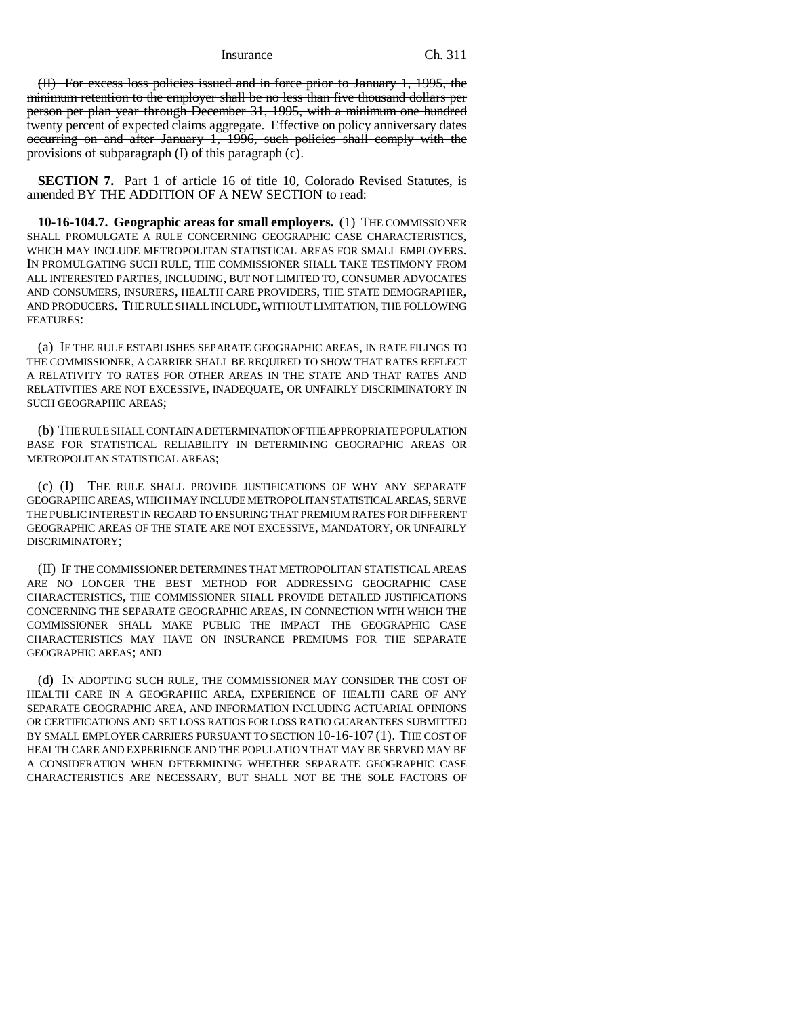(II) For excess loss policies issued and in force prior to January 1, 1995, the minimum retention to the employer shall be no less than five thousand dollars per person per plan year through December 31, 1995, with a minimum one hundred twenty percent of expected claims aggregate. Effective on policy anniversary dates occurring on and after January 1, 1996, such policies shall comply with the provisions of subparagraph (I) of this paragraph (c).

**SECTION 7.** Part 1 of article 16 of title 10, Colorado Revised Statutes, is amended BY THE ADDITION OF A NEW SECTION to read:

**10-16-104.7. Geographic areas for small employers.** (1) THE COMMISSIONER SHALL PROMULGATE A RULE CONCERNING GEOGRAPHIC CASE CHARACTERISTICS, WHICH MAY INCLUDE METROPOLITAN STATISTICAL AREAS FOR SMALL EMPLOYERS. IN PROMULGATING SUCH RULE, THE COMMISSIONER SHALL TAKE TESTIMONY FROM ALL INTERESTED PARTIES, INCLUDING, BUT NOT LIMITED TO, CONSUMER ADVOCATES AND CONSUMERS, INSURERS, HEALTH CARE PROVIDERS, THE STATE DEMOGRAPHER, AND PRODUCERS. THE RULE SHALL INCLUDE, WITHOUT LIMITATION, THE FOLLOWING FEATURES:

(a) IF THE RULE ESTABLISHES SEPARATE GEOGRAPHIC AREAS, IN RATE FILINGS TO THE COMMISSIONER, A CARRIER SHALL BE REQUIRED TO SHOW THAT RATES REFLECT A RELATIVITY TO RATES FOR OTHER AREAS IN THE STATE AND THAT RATES AND RELATIVITIES ARE NOT EXCESSIVE, INADEQUATE, OR UNFAIRLY DISCRIMINATORY IN SUCH GEOGRAPHIC AREAS;

(b) THE RULE SHALL CONTAIN A DETERMINATION OF THE APPROPRIATE POPULATION BASE FOR STATISTICAL RELIABILITY IN DETERMINING GEOGRAPHIC AREAS OR METROPOLITAN STATISTICAL AREAS;

(c) (I) THE RULE SHALL PROVIDE JUSTIFICATIONS OF WHY ANY SEPARATE GEOGRAPHIC AREAS, WHICH MAY INCLUDE METROPOLITAN STATISTICAL AREAS, SERVE THE PUBLIC INTEREST IN REGARD TO ENSURING THAT PREMIUM RATES FOR DIFFERENT GEOGRAPHIC AREAS OF THE STATE ARE NOT EXCESSIVE, MANDATORY, OR UNFAIRLY DISCRIMINATORY;

(II) IF THE COMMISSIONER DETERMINES THAT METROPOLITAN STATISTICAL AREAS ARE NO LONGER THE BEST METHOD FOR ADDRESSING GEOGRAPHIC CASE CHARACTERISTICS, THE COMMISSIONER SHALL PROVIDE DETAILED JUSTIFICATIONS CONCERNING THE SEPARATE GEOGRAPHIC AREAS, IN CONNECTION WITH WHICH THE COMMISSIONER SHALL MAKE PUBLIC THE IMPACT THE GEOGRAPHIC CASE CHARACTERISTICS MAY HAVE ON INSURANCE PREMIUMS FOR THE SEPARATE GEOGRAPHIC AREAS; AND

(d) IN ADOPTING SUCH RULE, THE COMMISSIONER MAY CONSIDER THE COST OF HEALTH CARE IN A GEOGRAPHIC AREA, EXPERIENCE OF HEALTH CARE OF ANY SEPARATE GEOGRAPHIC AREA, AND INFORMATION INCLUDING ACTUARIAL OPINIONS OR CERTIFICATIONS AND SET LOSS RATIOS FOR LOSS RATIO GUARANTEES SUBMITTED BY SMALL EMPLOYER CARRIERS PURSUANT TO SECTION 10-16-107 (1). THE COST OF HEALTH CARE AND EXPERIENCE AND THE POPULATION THAT MAY BE SERVED MAY BE A CONSIDERATION WHEN DETERMINING WHETHER SEPARATE GEOGRAPHIC CASE CHARACTERISTICS ARE NECESSARY, BUT SHALL NOT BE THE SOLE FACTORS OF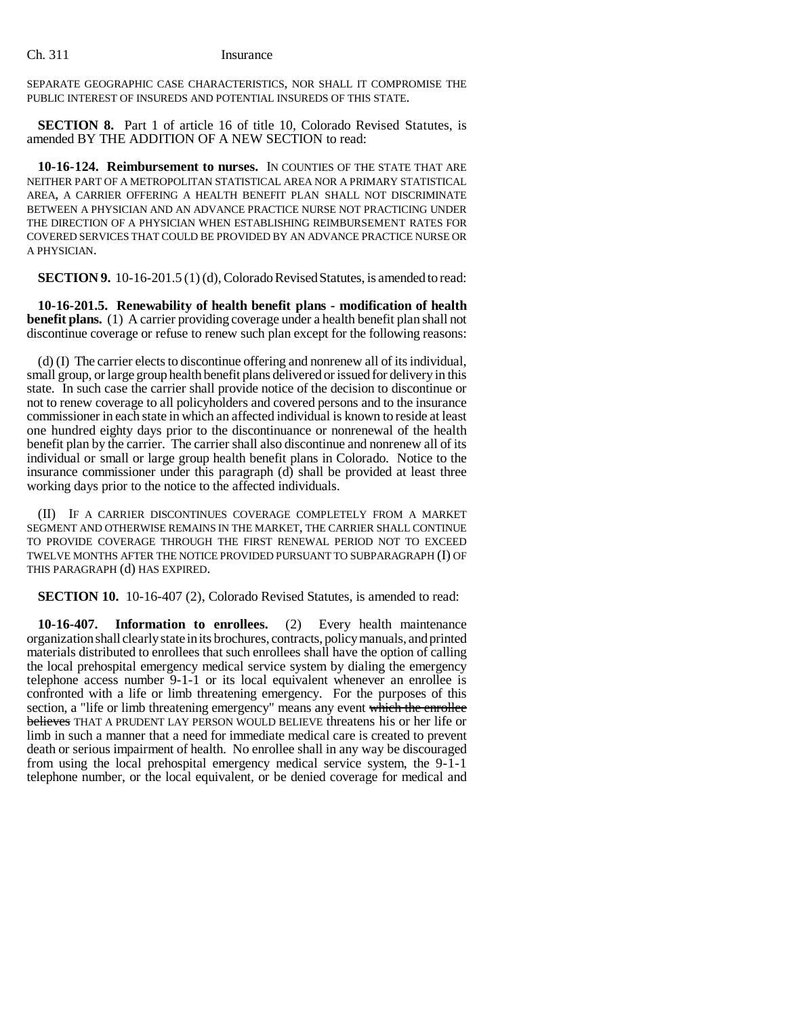SEPARATE GEOGRAPHIC CASE CHARACTERISTICS, NOR SHALL IT COMPROMISE THE PUBLIC INTEREST OF INSUREDS AND POTENTIAL INSUREDS OF THIS STATE.

**SECTION 8.** Part 1 of article 16 of title 10, Colorado Revised Statutes, is amended BY THE ADDITION OF A NEW SECTION to read:

**10-16-124. Reimbursement to nurses.** IN COUNTIES OF THE STATE THAT ARE NEITHER PART OF A METROPOLITAN STATISTICAL AREA NOR A PRIMARY STATISTICAL AREA, A CARRIER OFFERING A HEALTH BENEFIT PLAN SHALL NOT DISCRIMINATE BETWEEN A PHYSICIAN AND AN ADVANCE PRACTICE NURSE NOT PRACTICING UNDER THE DIRECTION OF A PHYSICIAN WHEN ESTABLISHING REIMBURSEMENT RATES FOR COVERED SERVICES THAT COULD BE PROVIDED BY AN ADVANCE PRACTICE NURSE OR A PHYSICIAN.

**SECTION 9.** 10-16-201.5 (1) (d), Colorado Revised Statutes, is amended to read:

**10-16-201.5. Renewability of health benefit plans - modification of health benefit plans.** (1) A carrier providing coverage under a health benefit plan shall not discontinue coverage or refuse to renew such plan except for the following reasons:

(d) (I) The carrier elects to discontinue offering and nonrenew all of its individual, small group, or large group health benefit plans delivered or issued for delivery in this state. In such case the carrier shall provide notice of the decision to discontinue or not to renew coverage to all policyholders and covered persons and to the insurance commissioner in each state in which an affected individual is known to reside at least one hundred eighty days prior to the discontinuance or nonrenewal of the health benefit plan by the carrier. The carrier shall also discontinue and nonrenew all of its individual or small or large group health benefit plans in Colorado. Notice to the insurance commissioner under this paragraph  $(d)$  shall be provided at least three working days prior to the notice to the affected individuals.

(II) IF A CARRIER DISCONTINUES COVERAGE COMPLETELY FROM A MARKET SEGMENT AND OTHERWISE REMAINS IN THE MARKET, THE CARRIER SHALL CONTINUE TO PROVIDE COVERAGE THROUGH THE FIRST RENEWAL PERIOD NOT TO EXCEED TWELVE MONTHS AFTER THE NOTICE PROVIDED PURSUANT TO SUBPARAGRAPH (I) OF THIS PARAGRAPH (d) HAS EXPIRED.

**SECTION 10.** 10-16-407 (2), Colorado Revised Statutes, is amended to read:

**10-16-407. Information to enrollees.** (2) Every health maintenance organization shall clearly state in its brochures, contracts, policy manuals, and printed materials distributed to enrollees that such enrollees shall have the option of calling the local prehospital emergency medical service system by dialing the emergency telephone access number 9-1-1 or its local equivalent whenever an enrollee is confronted with a life or limb threatening emergency. For the purposes of this section, a "life or limb threatening emergency" means any event which the enrollee believes THAT A PRUDENT LAY PERSON WOULD BELIEVE threatens his or her life or limb in such a manner that a need for immediate medical care is created to prevent death or serious impairment of health. No enrollee shall in any way be discouraged from using the local prehospital emergency medical service system, the 9-1-1 telephone number, or the local equivalent, or be denied coverage for medical and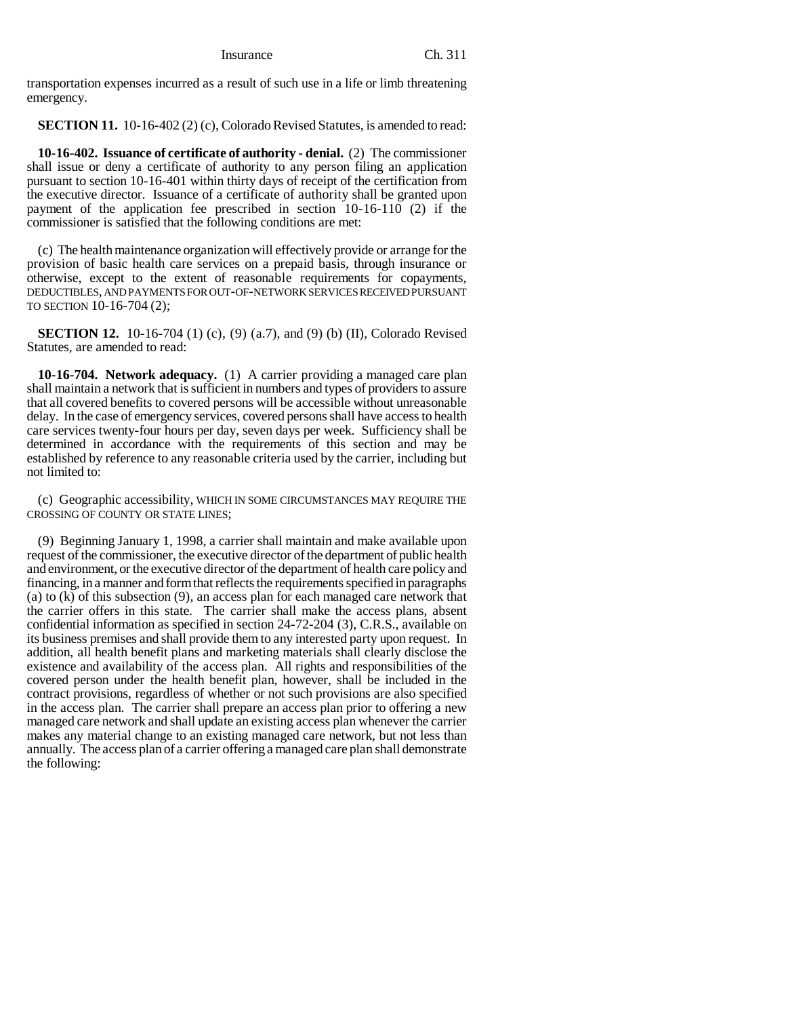transportation expenses incurred as a result of such use in a life or limb threatening emergency.

**SECTION 11.** 10-16-402 (2) (c), Colorado Revised Statutes, is amended to read:

**10-16-402. Issuance of certificate of authority - denial.** (2) The commissioner shall issue or deny a certificate of authority to any person filing an application pursuant to section 10-16-401 within thirty days of receipt of the certification from the executive director. Issuance of a certificate of authority shall be granted upon payment of the application fee prescribed in section 10-16-110 (2) if the commissioner is satisfied that the following conditions are met:

(c) The health maintenance organization will effectively provide or arrange for the provision of basic health care services on a prepaid basis, through insurance or otherwise, except to the extent of reasonable requirements for copayments, DEDUCTIBLES, AND PAYMENTS FOR OUT-OF-NETWORK SERVICES RECEIVED PURSUANT TO SECTION 10-16-704 (2);

**SECTION 12.** 10-16-704 (1) (c), (9) (a.7), and (9) (b) (II), Colorado Revised Statutes, are amended to read:

**10-16-704. Network adequacy.** (1) A carrier providing a managed care plan shall maintain a network that is sufficient in numbers and types of providers to assure that all covered benefits to covered persons will be accessible without unreasonable delay. In the case of emergency services, covered persons shall have access to health care services twenty-four hours per day, seven days per week. Sufficiency shall be determined in accordance with the requirements of this section and may be established by reference to any reasonable criteria used by the carrier, including but not limited to:

(c) Geographic accessibility, WHICH IN SOME CIRCUMSTANCES MAY REQUIRE THE CROSSING OF COUNTY OR STATE LINES;

(9) Beginning January 1, 1998, a carrier shall maintain and make available upon request of the commissioner, the executive director of the department of public health and environment, or the executive director of the department of health care policy and financing, in a manner and form that reflects the requirements specified in paragraphs (a) to (k) of this subsection (9), an access plan for each managed care network that the carrier offers in this state. The carrier shall make the access plans, absent confidential information as specified in section 24-72-204 (3), C.R.S., available on its business premises and shall provide them to any interested party upon request. In addition, all health benefit plans and marketing materials shall clearly disclose the existence and availability of the access plan. All rights and responsibilities of the covered person under the health benefit plan, however, shall be included in the contract provisions, regardless of whether or not such provisions are also specified in the access plan. The carrier shall prepare an access plan prior to offering a new managed care network and shall update an existing access plan whenever the carrier makes any material change to an existing managed care network, but not less than annually. The access plan of a carrier offering a managed care plan shall demonstrate the following: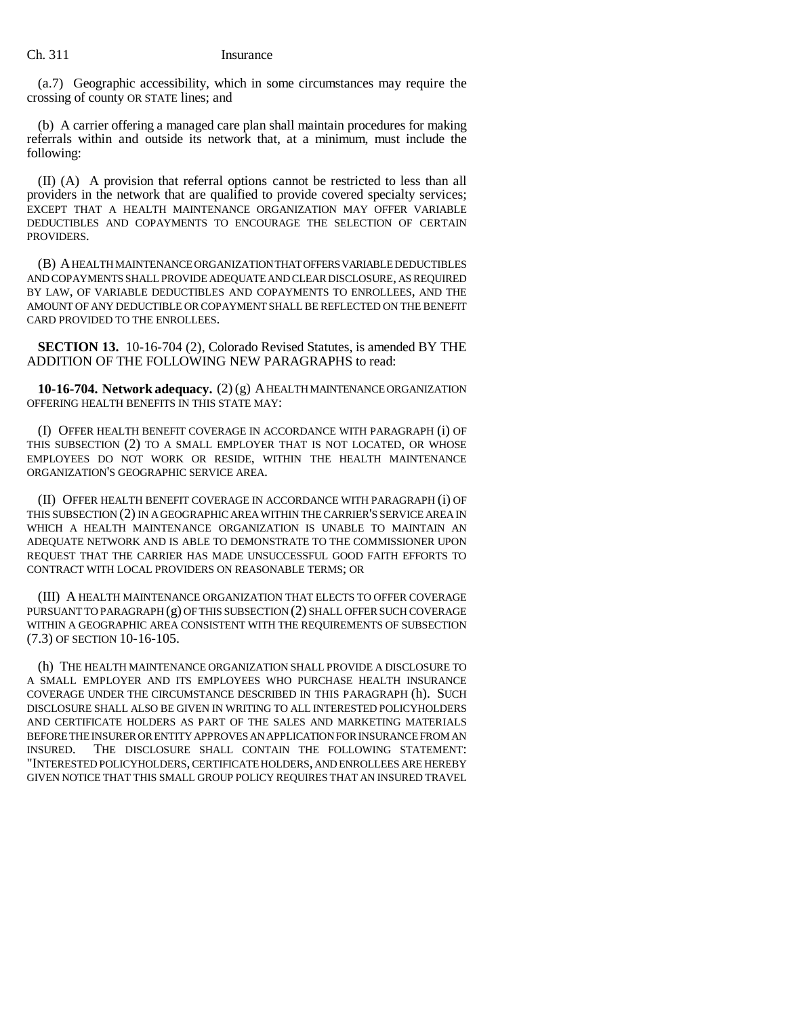(a.7) Geographic accessibility, which in some circumstances may require the crossing of county OR STATE lines; and

(b) A carrier offering a managed care plan shall maintain procedures for making referrals within and outside its network that, at a minimum, must include the following:

(II) (A) A provision that referral options cannot be restricted to less than all providers in the network that are qualified to provide covered specialty services; EXCEPT THAT A HEALTH MAINTENANCE ORGANIZATION MAY OFFER VARIABLE DEDUCTIBLES AND COPAYMENTS TO ENCOURAGE THE SELECTION OF CERTAIN PROVIDERS.

(B) A HEALTH MAINTENANCE ORGANIZATION THAT OFFERS VARIABLE DEDUCTIBLES AND COPAYMENTS SHALL PROVIDE ADEQUATE AND CLEAR DISCLOSURE, AS REQUIRED BY LAW, OF VARIABLE DEDUCTIBLES AND COPAYMENTS TO ENROLLEES, AND THE AMOUNT OF ANY DEDUCTIBLE OR COPAYMENT SHALL BE REFLECTED ON THE BENEFIT CARD PROVIDED TO THE ENROLLEES.

**SECTION 13.** 10-16-704 (2), Colorado Revised Statutes, is amended BY THE ADDITION OF THE FOLLOWING NEW PARAGRAPHS to read:

**10-16-704. Network adequacy.** (2) (g) A HEALTH MAINTENANCE ORGANIZATION OFFERING HEALTH BENEFITS IN THIS STATE MAY:

(I) OFFER HEALTH BENEFIT COVERAGE IN ACCORDANCE WITH PARAGRAPH (i) OF THIS SUBSECTION (2) TO A SMALL EMPLOYER THAT IS NOT LOCATED, OR WHOSE EMPLOYEES DO NOT WORK OR RESIDE, WITHIN THE HEALTH MAINTENANCE ORGANIZATION'S GEOGRAPHIC SERVICE AREA.

(II) OFFER HEALTH BENEFIT COVERAGE IN ACCORDANCE WITH PARAGRAPH (i) OF THIS SUBSECTION (2) IN A GEOGRAPHIC AREA WITHIN THE CARRIER'S SERVICE AREA IN WHICH A HEALTH MAINTENANCE ORGANIZATION IS UNABLE TO MAINTAIN AN ADEQUATE NETWORK AND IS ABLE TO DEMONSTRATE TO THE COMMISSIONER UPON REQUEST THAT THE CARRIER HAS MADE UNSUCCESSFUL GOOD FAITH EFFORTS TO CONTRACT WITH LOCAL PROVIDERS ON REASONABLE TERMS; OR

(III) A HEALTH MAINTENANCE ORGANIZATION THAT ELECTS TO OFFER COVERAGE PURSUANT TO PARAGRAPH (g) OF THIS SUBSECTION (2) SHALL OFFER SUCH COVERAGE WITHIN A GEOGRAPHIC AREA CONSISTENT WITH THE REQUIREMENTS OF SUBSECTION (7.3) OF SECTION 10-16-105.

(h) THE HEALTH MAINTENANCE ORGANIZATION SHALL PROVIDE A DISCLOSURE TO A SMALL EMPLOYER AND ITS EMPLOYEES WHO PURCHASE HEALTH INSURANCE COVERAGE UNDER THE CIRCUMSTANCE DESCRIBED IN THIS PARAGRAPH (h). SUCH DISCLOSURE SHALL ALSO BE GIVEN IN WRITING TO ALL INTERESTED POLICYHOLDERS AND CERTIFICATE HOLDERS AS PART OF THE SALES AND MARKETING MATERIALS BEFORE THE INSURER OR ENTITY APPROVES AN APPLICATION FOR INSURANCE FROM AN INSURED. THE DISCLOSURE SHALL CONTAIN THE FOLLOWING STATEMENT: "INTERESTED POLICYHOLDERS, CERTIFICATE HOLDERS, AND ENROLLEES ARE HEREBY GIVEN NOTICE THAT THIS SMALL GROUP POLICY REQUIRES THAT AN INSURED TRAVEL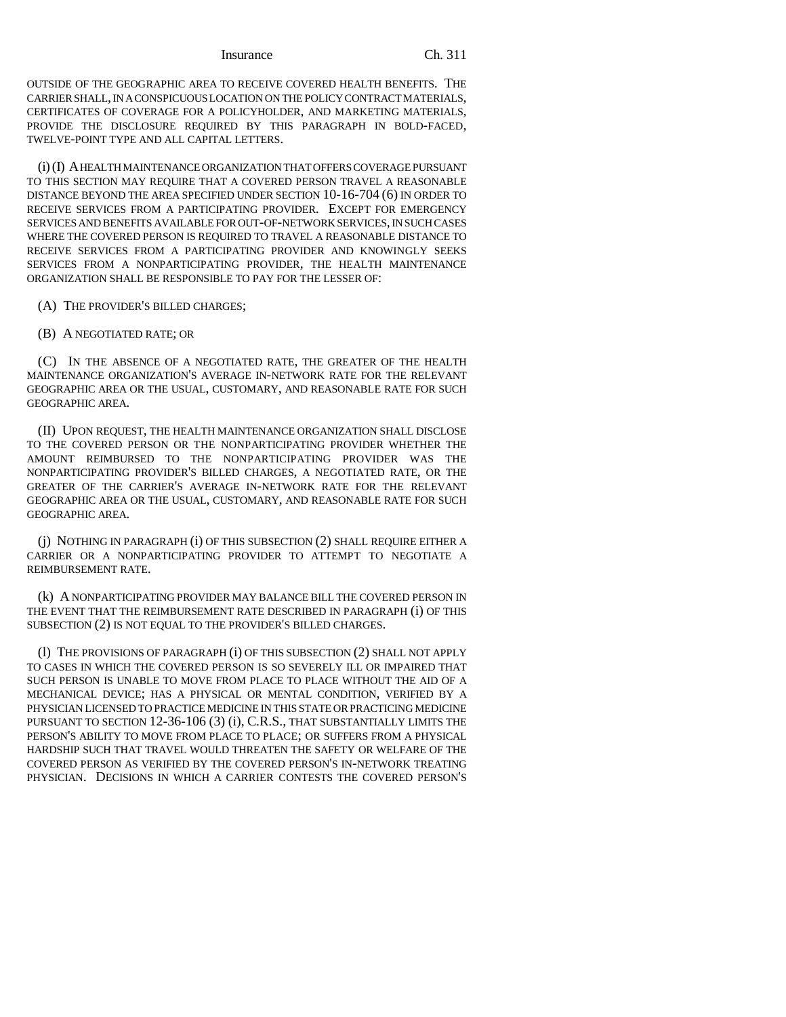OUTSIDE OF THE GEOGRAPHIC AREA TO RECEIVE COVERED HEALTH BENEFITS. THE CARRIER SHALL, IN A CONSPICUOUS LOCATION ON THE POLICY CONTRACT MATERIALS, CERTIFICATES OF COVERAGE FOR A POLICYHOLDER, AND MARKETING MATERIALS, PROVIDE THE DISCLOSURE REQUIRED BY THIS PARAGRAPH IN BOLD-FACED, TWELVE-POINT TYPE AND ALL CAPITAL LETTERS.

(i) (I) A HEALTH MAINTENANCE ORGANIZATION THAT OFFERS COVERAGE PURSUANT TO THIS SECTION MAY REQUIRE THAT A COVERED PERSON TRAVEL A REASONABLE DISTANCE BEYOND THE AREA SPECIFIED UNDER SECTION 10-16-704 (6) IN ORDER TO RECEIVE SERVICES FROM A PARTICIPATING PROVIDER. EXCEPT FOR EMERGENCY SERVICES AND BENEFITS AVAILABLE FOR OUT-OF-NETWORK SERVICES, IN SUCH CASES WHERE THE COVERED PERSON IS REQUIRED TO TRAVEL A REASONABLE DISTANCE TO RECEIVE SERVICES FROM A PARTICIPATING PROVIDER AND KNOWINGLY SEEKS SERVICES FROM A NONPARTICIPATING PROVIDER, THE HEALTH MAINTENANCE ORGANIZATION SHALL BE RESPONSIBLE TO PAY FOR THE LESSER OF:

- (A) THE PROVIDER'S BILLED CHARGES;
- (B) A NEGOTIATED RATE; OR

(C) IN THE ABSENCE OF A NEGOTIATED RATE, THE GREATER OF THE HEALTH MAINTENANCE ORGANIZATION'S AVERAGE IN-NETWORK RATE FOR THE RELEVANT GEOGRAPHIC AREA OR THE USUAL, CUSTOMARY, AND REASONABLE RATE FOR SUCH GEOGRAPHIC AREA.

(II) UPON REQUEST, THE HEALTH MAINTENANCE ORGANIZATION SHALL DISCLOSE TO THE COVERED PERSON OR THE NONPARTICIPATING PROVIDER WHETHER THE AMOUNT REIMBURSED TO THE NONPARTICIPATING PROVIDER WAS THE NONPARTICIPATING PROVIDER'S BILLED CHARGES, A NEGOTIATED RATE, OR THE GREATER OF THE CARRIER'S AVERAGE IN-NETWORK RATE FOR THE RELEVANT GEOGRAPHIC AREA OR THE USUAL, CUSTOMARY, AND REASONABLE RATE FOR SUCH GEOGRAPHIC AREA.

(j) NOTHING IN PARAGRAPH (i) OF THIS SUBSECTION (2) SHALL REQUIRE EITHER A CARRIER OR A NONPARTICIPATING PROVIDER TO ATTEMPT TO NEGOTIATE A REIMBURSEMENT RATE.

(k) A NONPARTICIPATING PROVIDER MAY BALANCE BILL THE COVERED PERSON IN THE EVENT THAT THE REIMBURSEMENT RATE DESCRIBED IN PARAGRAPH (i) OF THIS SUBSECTION (2) IS NOT EQUAL TO THE PROVIDER'S BILLED CHARGES.

(l) THE PROVISIONS OF PARAGRAPH (i) OF THIS SUBSECTION (2) SHALL NOT APPLY TO CASES IN WHICH THE COVERED PERSON IS SO SEVERELY ILL OR IMPAIRED THAT SUCH PERSON IS UNABLE TO MOVE FROM PLACE TO PLACE WITHOUT THE AID OF A MECHANICAL DEVICE; HAS A PHYSICAL OR MENTAL CONDITION, VERIFIED BY A PHYSICIAN LICENSED TO PRACTICE MEDICINE IN THIS STATE OR PRACTICING MEDICINE PURSUANT TO SECTION 12-36-106 (3) (i), C.R.S., THAT SUBSTANTIALLY LIMITS THE PERSON'S ABILITY TO MOVE FROM PLACE TO PLACE; OR SUFFERS FROM A PHYSICAL HARDSHIP SUCH THAT TRAVEL WOULD THREATEN THE SAFETY OR WELFARE OF THE COVERED PERSON AS VERIFIED BY THE COVERED PERSON'S IN-NETWORK TREATING PHYSICIAN. DECISIONS IN WHICH A CARRIER CONTESTS THE COVERED PERSON'S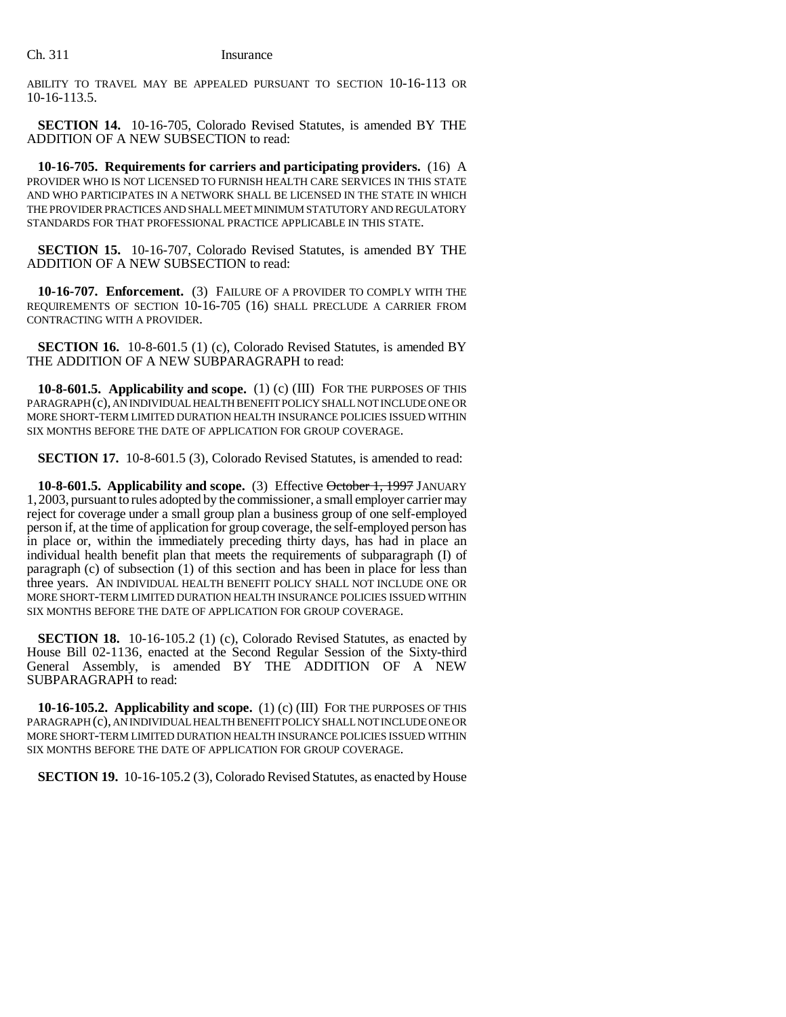ABILITY TO TRAVEL MAY BE APPEALED PURSUANT TO SECTION 10-16-113 OR 10-16-113.5.

**SECTION 14.** 10-16-705, Colorado Revised Statutes, is amended BY THE ADDITION OF A NEW SUBSECTION to read:

**10-16-705. Requirements for carriers and participating providers.** (16) A PROVIDER WHO IS NOT LICENSED TO FURNISH HEALTH CARE SERVICES IN THIS STATE AND WHO PARTICIPATES IN A NETWORK SHALL BE LICENSED IN THE STATE IN WHICH THE PROVIDER PRACTICES AND SHALL MEET MINIMUM STATUTORY AND REGULATORY STANDARDS FOR THAT PROFESSIONAL PRACTICE APPLICABLE IN THIS STATE.

**SECTION 15.** 10-16-707, Colorado Revised Statutes, is amended BY THE ADDITION OF A NEW SUBSECTION to read:

**10-16-707. Enforcement.** (3) FAILURE OF A PROVIDER TO COMPLY WITH THE REQUIREMENTS OF SECTION 10-16-705 (16) SHALL PRECLUDE A CARRIER FROM CONTRACTING WITH A PROVIDER.

**SECTION 16.** 10-8-601.5 (1) (c), Colorado Revised Statutes, is amended BY THE ADDITION OF A NEW SUBPARAGRAPH to read:

**10-8-601.5. Applicability and scope.** (1) (c) (III) FOR THE PURPOSES OF THIS PARAGRAPH (c), AN INDIVIDUAL HEALTH BENEFIT POLICY SHALL NOT INCLUDE ONE OR MORE SHORT-TERM LIMITED DURATION HEALTH INSURANCE POLICIES ISSUED WITHIN SIX MONTHS BEFORE THE DATE OF APPLICATION FOR GROUP COVERAGE.

**SECTION 17.** 10-8-601.5 (3), Colorado Revised Statutes, is amended to read:

**10-8-601.5. Applicability and scope.** (3) Effective October 1, 1997 JANUARY 1,2003, pursuant to rules adopted by the commissioner, a small employer carrier may reject for coverage under a small group plan a business group of one self-employed person if, at the time of application for group coverage, the self-employed person has in place or, within the immediately preceding thirty days, has had in place an individual health benefit plan that meets the requirements of subparagraph (I) of paragraph (c) of subsection (1) of this section and has been in place for less than three years. AN INDIVIDUAL HEALTH BENEFIT POLICY SHALL NOT INCLUDE ONE OR MORE SHORT-TERM LIMITED DURATION HEALTH INSURANCE POLICIES ISSUED WITHIN SIX MONTHS BEFORE THE DATE OF APPLICATION FOR GROUP COVERAGE.

**SECTION 18.** 10-16-105.2 (1) (c), Colorado Revised Statutes, as enacted by House Bill 02-1136, enacted at the Second Regular Session of the Sixty-third General Assembly, is amended BY THE ADDITION OF A NEW SUBPARAGRAPH to read:

**10-16-105.2. Applicability and scope.** (1) (c) (III) FOR THE PURPOSES OF THIS PARAGRAPH (c), AN INDIVIDUAL HEALTH BENEFIT POLICY SHALL NOT INCLUDE ONE OR MORE SHORT-TERM LIMITED DURATION HEALTH INSURANCE POLICIES ISSUED WITHIN SIX MONTHS BEFORE THE DATE OF APPLICATION FOR GROUP COVERAGE.

**SECTION 19.** 10-16-105.2 (3), Colorado Revised Statutes, as enacted by House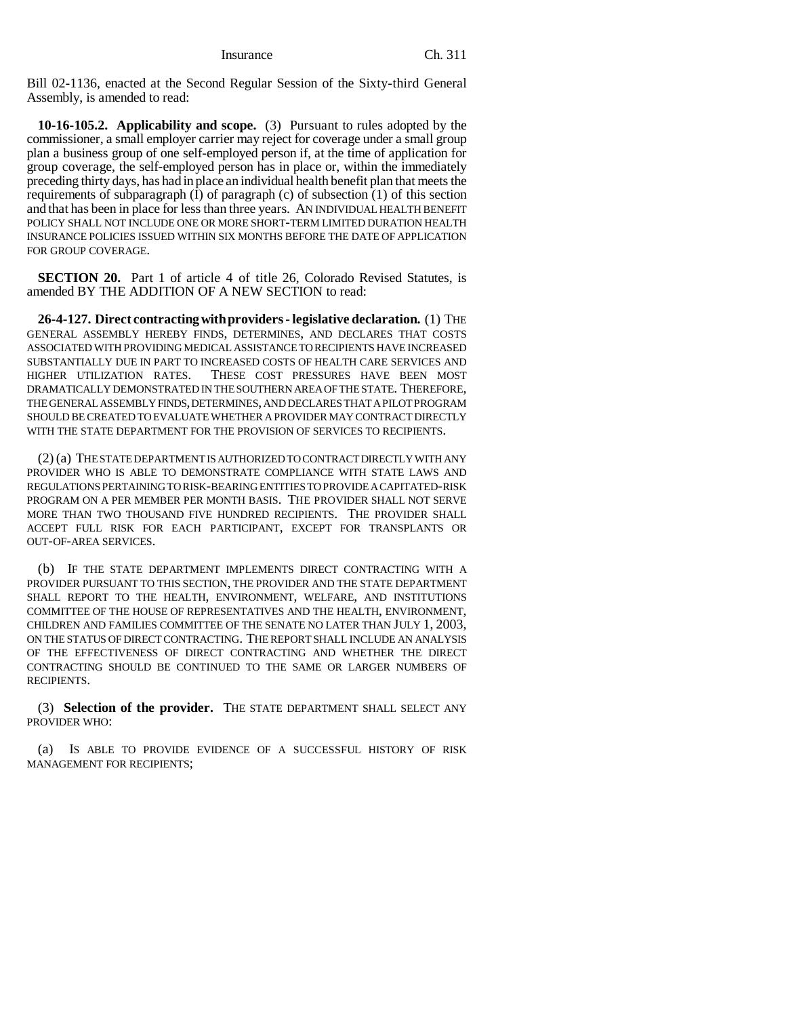Bill 02-1136, enacted at the Second Regular Session of the Sixty-third General Assembly, is amended to read:

**10-16-105.2. Applicability and scope.** (3) Pursuant to rules adopted by the commissioner, a small employer carrier may reject for coverage under a small group plan a business group of one self-employed person if, at the time of application for group coverage, the self-employed person has in place or, within the immediately preceding thirty days, has had in place an individual health benefit plan that meets the requirements of subparagraph (I) of paragraph (c) of subsection (1) of this section and that has been in place for less than three years. AN INDIVIDUAL HEALTH BENEFIT POLICY SHALL NOT INCLUDE ONE OR MORE SHORT-TERM LIMITED DURATION HEALTH INSURANCE POLICIES ISSUED WITHIN SIX MONTHS BEFORE THE DATE OF APPLICATION FOR GROUP COVERAGE.

**SECTION 20.** Part 1 of article 4 of title 26, Colorado Revised Statutes, is amended BY THE ADDITION OF A NEW SECTION to read:

**26-4-127. Direct contracting with providers - legislative declaration.** (1) THE GENERAL ASSEMBLY HEREBY FINDS, DETERMINES, AND DECLARES THAT COSTS ASSOCIATED WITH PROVIDING MEDICAL ASSISTANCE TO RECIPIENTS HAVE INCREASED SUBSTANTIALLY DUE IN PART TO INCREASED COSTS OF HEALTH CARE SERVICES AND HIGHER UTILIZATION RATES. THESE COST PRESSURES HAVE BEEN MOST DRAMATICALLY DEMONSTRATED IN THE SOUTHERN AREA OF THE STATE. THEREFORE, THE GENERAL ASSEMBLY FINDS, DETERMINES, AND DECLARES THAT A PILOT PROGRAM SHOULD BE CREATED TO EVALUATE WHETHER A PROVIDER MAY CONTRACT DIRECTLY WITH THE STATE DEPARTMENT FOR THE PROVISION OF SERVICES TO RECIPIENTS.

(2) (a) THE STATE DEPARTMENT IS AUTHORIZED TO CONTRACT DIRECTLY WITH ANY PROVIDER WHO IS ABLE TO DEMONSTRATE COMPLIANCE WITH STATE LAWS AND REGULATIONS PERTAINING TO RISK-BEARING ENTITIES TO PROVIDE A CAPITATED-RISK PROGRAM ON A PER MEMBER PER MONTH BASIS. THE PROVIDER SHALL NOT SERVE MORE THAN TWO THOUSAND FIVE HUNDRED RECIPIENTS. THE PROVIDER SHALL ACCEPT FULL RISK FOR EACH PARTICIPANT, EXCEPT FOR TRANSPLANTS OR OUT-OF-AREA SERVICES.

(b) IF THE STATE DEPARTMENT IMPLEMENTS DIRECT CONTRACTING WITH A PROVIDER PURSUANT TO THIS SECTION, THE PROVIDER AND THE STATE DEPARTMENT SHALL REPORT TO THE HEALTH, ENVIRONMENT, WELFARE, AND INSTITUTIONS COMMITTEE OF THE HOUSE OF REPRESENTATIVES AND THE HEALTH, ENVIRONMENT, CHILDREN AND FAMILIES COMMITTEE OF THE SENATE NO LATER THAN JULY 1, 2003, ON THE STATUS OF DIRECT CONTRACTING. THE REPORT SHALL INCLUDE AN ANALYSIS OF THE EFFECTIVENESS OF DIRECT CONTRACTING AND WHETHER THE DIRECT CONTRACTING SHOULD BE CONTINUED TO THE SAME OR LARGER NUMBERS OF RECIPIENTS.

(3) **Selection of the provider.** THE STATE DEPARTMENT SHALL SELECT ANY PROVIDER WHO:

(a) IS ABLE TO PROVIDE EVIDENCE OF A SUCCESSFUL HISTORY OF RISK MANAGEMENT FOR RECIPIENTS;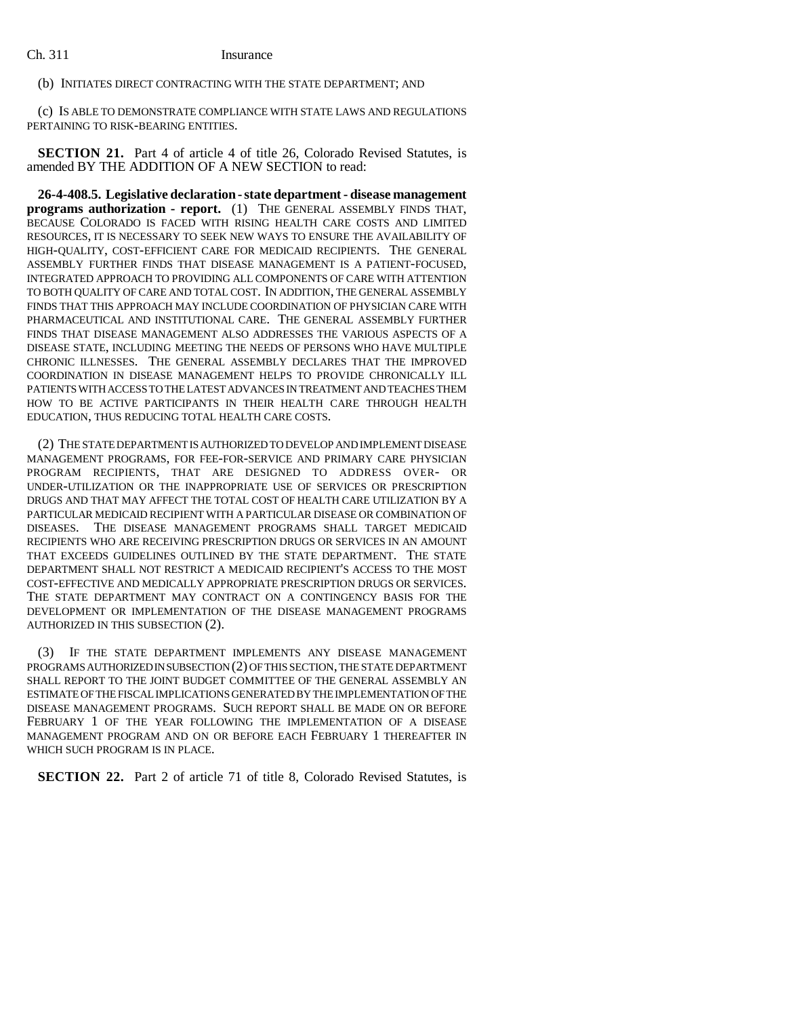(b) INITIATES DIRECT CONTRACTING WITH THE STATE DEPARTMENT; AND

(c) IS ABLE TO DEMONSTRATE COMPLIANCE WITH STATE LAWS AND REGULATIONS PERTAINING TO RISK-BEARING ENTITIES.

**SECTION 21.** Part 4 of article 4 of title 26, Colorado Revised Statutes, is amended BY THE ADDITION OF A NEW SECTION to read:

**26-4-408.5. Legislative declaration - state department - disease management programs authorization - report.** (1) THE GENERAL ASSEMBLY FINDS THAT, BECAUSE COLORADO IS FACED WITH RISING HEALTH CARE COSTS AND LIMITED RESOURCES, IT IS NECESSARY TO SEEK NEW WAYS TO ENSURE THE AVAILABILITY OF HIGH-QUALITY, COST-EFFICIENT CARE FOR MEDICAID RECIPIENTS. THE GENERAL ASSEMBLY FURTHER FINDS THAT DISEASE MANAGEMENT IS A PATIENT-FOCUSED, INTEGRATED APPROACH TO PROVIDING ALL COMPONENTS OF CARE WITH ATTENTION TO BOTH QUALITY OF CARE AND TOTAL COST. IN ADDITION, THE GENERAL ASSEMBLY FINDS THAT THIS APPROACH MAY INCLUDE COORDINATION OF PHYSICIAN CARE WITH PHARMACEUTICAL AND INSTITUTIONAL CARE. THE GENERAL ASSEMBLY FURTHER FINDS THAT DISEASE MANAGEMENT ALSO ADDRESSES THE VARIOUS ASPECTS OF A DISEASE STATE, INCLUDING MEETING THE NEEDS OF PERSONS WHO HAVE MULTIPLE CHRONIC ILLNESSES. THE GENERAL ASSEMBLY DECLARES THAT THE IMPROVED COORDINATION IN DISEASE MANAGEMENT HELPS TO PROVIDE CHRONICALLY ILL PATIENTS WITH ACCESS TO THE LATEST ADVANCES IN TREATMENT AND TEACHES THEM HOW TO BE ACTIVE PARTICIPANTS IN THEIR HEALTH CARE THROUGH HEALTH EDUCATION, THUS REDUCING TOTAL HEALTH CARE COSTS.

(2) THE STATE DEPARTMENT IS AUTHORIZED TO DEVELOP AND IMPLEMENT DISEASE MANAGEMENT PROGRAMS, FOR FEE-FOR-SERVICE AND PRIMARY CARE PHYSICIAN PROGRAM RECIPIENTS, THAT ARE DESIGNED TO ADDRESS OVER- OR UNDER-UTILIZATION OR THE INAPPROPRIATE USE OF SERVICES OR PRESCRIPTION DRUGS AND THAT MAY AFFECT THE TOTAL COST OF HEALTH CARE UTILIZATION BY A PARTICULAR MEDICAID RECIPIENT WITH A PARTICULAR DISEASE OR COMBINATION OF DISEASES. THE DISEASE MANAGEMENT PROGRAMS SHALL TARGET MEDICAID RECIPIENTS WHO ARE RECEIVING PRESCRIPTION DRUGS OR SERVICES IN AN AMOUNT THAT EXCEEDS GUIDELINES OUTLINED BY THE STATE DEPARTMENT. THE STATE DEPARTMENT SHALL NOT RESTRICT A MEDICAID RECIPIENT'S ACCESS TO THE MOST COST-EFFECTIVE AND MEDICALLY APPROPRIATE PRESCRIPTION DRUGS OR SERVICES. THE STATE DEPARTMENT MAY CONTRACT ON A CONTINGENCY BASIS FOR THE DEVELOPMENT OR IMPLEMENTATION OF THE DISEASE MANAGEMENT PROGRAMS AUTHORIZED IN THIS SUBSECTION (2).

(3) IF THE STATE DEPARTMENT IMPLEMENTS ANY DISEASE MANAGEMENT PROGRAMS AUTHORIZED IN SUBSECTION (2) OF THIS SECTION, THE STATE DEPARTMENT SHALL REPORT TO THE JOINT BUDGET COMMITTEE OF THE GENERAL ASSEMBLY AN ESTIMATE OF THE FISCAL IMPLICATIONS GENERATED BY THE IMPLEMENTATION OF THE DISEASE MANAGEMENT PROGRAMS. SUCH REPORT SHALL BE MADE ON OR BEFORE FEBRUARY 1 OF THE YEAR FOLLOWING THE IMPLEMENTATION OF A DISEASE MANAGEMENT PROGRAM AND ON OR BEFORE EACH FEBRUARY 1 THEREAFTER IN WHICH SUCH PROGRAM IS IN PLACE.

**SECTION 22.** Part 2 of article 71 of title 8, Colorado Revised Statutes, is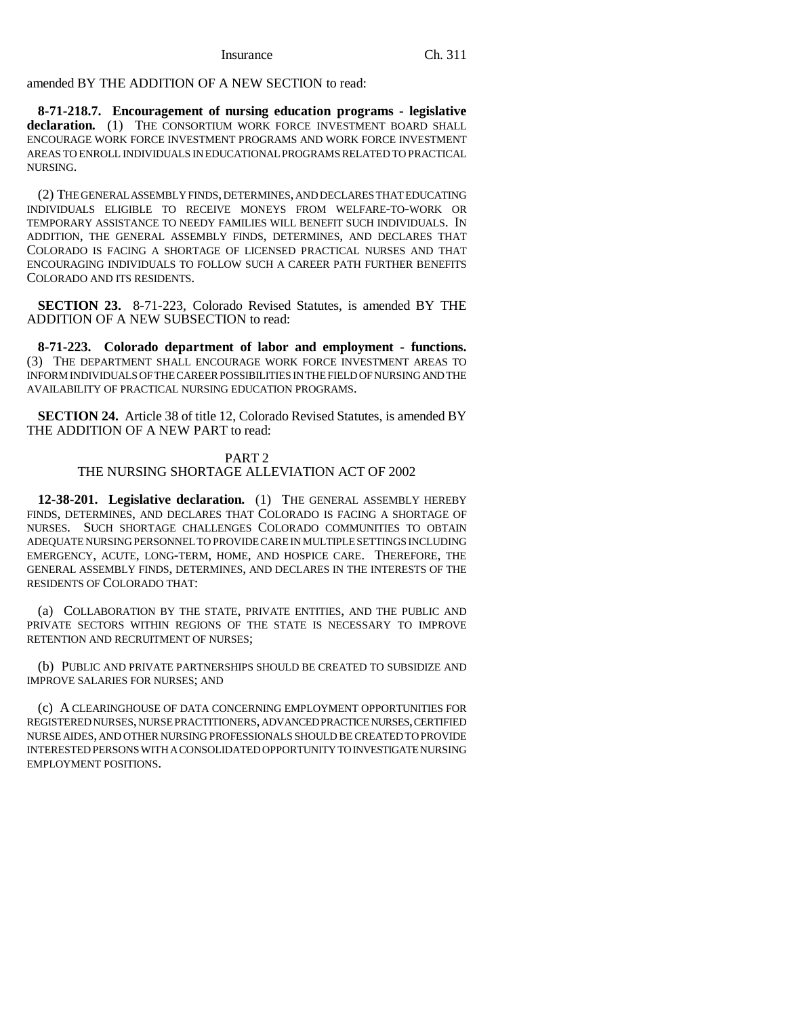amended BY THE ADDITION OF A NEW SECTION to read:

**8-71-218.7. Encouragement of nursing education programs - legislative declaration.** (1) THE CONSORTIUM WORK FORCE INVESTMENT BOARD SHALL ENCOURAGE WORK FORCE INVESTMENT PROGRAMS AND WORK FORCE INVESTMENT AREAS TO ENROLL INDIVIDUALS IN EDUCATIONAL PROGRAMS RELATED TO PRACTICAL NURSING.

(2) THE GENERAL ASSEMBLY FINDS, DETERMINES, AND DECLARES THAT EDUCATING INDIVIDUALS ELIGIBLE TO RECEIVE MONEYS FROM WELFARE-TO-WORK OR TEMPORARY ASSISTANCE TO NEEDY FAMILIES WILL BENEFIT SUCH INDIVIDUALS. IN ADDITION, THE GENERAL ASSEMBLY FINDS, DETERMINES, AND DECLARES THAT COLORADO IS FACING A SHORTAGE OF LICENSED PRACTICAL NURSES AND THAT ENCOURAGING INDIVIDUALS TO FOLLOW SUCH A CAREER PATH FURTHER BENEFITS COLORADO AND ITS RESIDENTS.

**SECTION 23.** 8-71-223, Colorado Revised Statutes, is amended BY THE ADDITION OF A NEW SUBSECTION to read:

**8-71-223. Colorado department of labor and employment - functions.** (3) THE DEPARTMENT SHALL ENCOURAGE WORK FORCE INVESTMENT AREAS TO INFORM INDIVIDUALS OF THE CAREER POSSIBILITIES IN THE FIELD OF NURSING AND THE AVAILABILITY OF PRACTICAL NURSING EDUCATION PROGRAMS.

**SECTION 24.** Article 38 of title 12, Colorado Revised Statutes, is amended BY THE ADDITION OF A NEW PART to read:

### PART 2

### THE NURSING SHORTAGE ALLEVIATION ACT OF 2002

**12-38-201. Legislative declaration.** (1) THE GENERAL ASSEMBLY HEREBY FINDS, DETERMINES, AND DECLARES THAT COLORADO IS FACING A SHORTAGE OF NURSES. SUCH SHORTAGE CHALLENGES COLORADO COMMUNITIES TO OBTAIN ADEQUATE NURSING PERSONNEL TO PROVIDE CARE IN MULTIPLE SETTINGS INCLUDING EMERGENCY, ACUTE, LONG-TERM, HOME, AND HOSPICE CARE. THEREFORE, THE GENERAL ASSEMBLY FINDS, DETERMINES, AND DECLARES IN THE INTERESTS OF THE RESIDENTS OF COLORADO THAT:

(a) COLLABORATION BY THE STATE, PRIVATE ENTITIES, AND THE PUBLIC AND PRIVATE SECTORS WITHIN REGIONS OF THE STATE IS NECESSARY TO IMPROVE RETENTION AND RECRUITMENT OF NURSES;

(b) PUBLIC AND PRIVATE PARTNERSHIPS SHOULD BE CREATED TO SUBSIDIZE AND IMPROVE SALARIES FOR NURSES; AND

(c) A CLEARINGHOUSE OF DATA CONCERNING EMPLOYMENT OPPORTUNITIES FOR REGISTERED NURSES, NURSE PRACTITIONERS, ADVANCED PRACTICE NURSES, CERTIFIED NURSE AIDES, AND OTHER NURSING PROFESSIONALS SHOULD BE CREATED TO PROVIDE INTERESTED PERSONS WITH A CONSOLIDATED OPPORTUNITY TO INVESTIGATE NURSING EMPLOYMENT POSITIONS.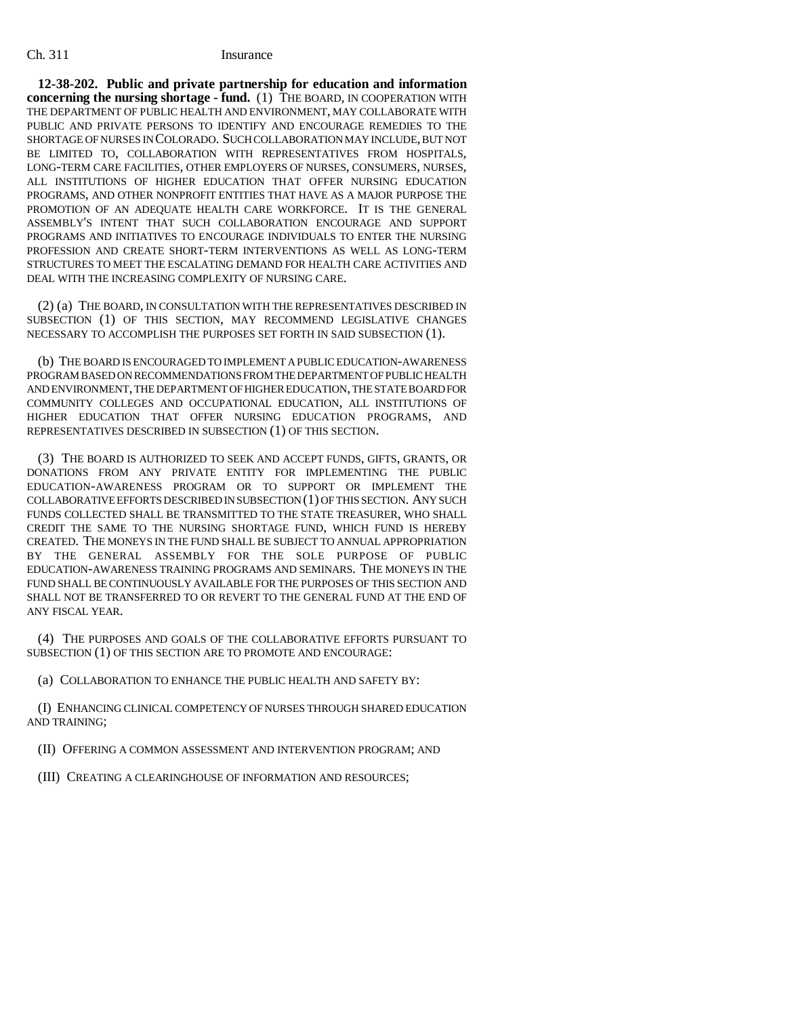**12-38-202. Public and private partnership for education and information concerning the nursing shortage - fund.** (1) THE BOARD, IN COOPERATION WITH THE DEPARTMENT OF PUBLIC HEALTH AND ENVIRONMENT, MAY COLLABORATE WITH PUBLIC AND PRIVATE PERSONS TO IDENTIFY AND ENCOURAGE REMEDIES TO THE SHORTAGE OF NURSES IN COLORADO. SUCH COLLABORATION MAY INCLUDE, BUT NOT BE LIMITED TO, COLLABORATION WITH REPRESENTATIVES FROM HOSPITALS, LONG-TERM CARE FACILITIES, OTHER EMPLOYERS OF NURSES, CONSUMERS, NURSES, ALL INSTITUTIONS OF HIGHER EDUCATION THAT OFFER NURSING EDUCATION PROGRAMS, AND OTHER NONPROFIT ENTITIES THAT HAVE AS A MAJOR PURPOSE THE PROMOTION OF AN ADEQUATE HEALTH CARE WORKFORCE. IT IS THE GENERAL ASSEMBLY'S INTENT THAT SUCH COLLABORATION ENCOURAGE AND SUPPORT PROGRAMS AND INITIATIVES TO ENCOURAGE INDIVIDUALS TO ENTER THE NURSING PROFESSION AND CREATE SHORT-TERM INTERVENTIONS AS WELL AS LONG-TERM STRUCTURES TO MEET THE ESCALATING DEMAND FOR HEALTH CARE ACTIVITIES AND DEAL WITH THE INCREASING COMPLEXITY OF NURSING CARE.

(2) (a) THE BOARD, IN CONSULTATION WITH THE REPRESENTATIVES DESCRIBED IN SUBSECTION (1) OF THIS SECTION, MAY RECOMMEND LEGISLATIVE CHANGES NECESSARY TO ACCOMPLISH THE PURPOSES SET FORTH IN SAID SUBSECTION (1).

(b) THE BOARD IS ENCOURAGED TO IMPLEMENT A PUBLIC EDUCATION-AWARENESS PROGRAM BASED ON RECOMMENDATIONS FROM THE DEPARTMENT OF PUBLIC HEALTH AND ENVIRONMENT, THE DEPARTMENT OF HIGHER EDUCATION, THE STATE BOARD FOR COMMUNITY COLLEGES AND OCCUPATIONAL EDUCATION, ALL INSTITUTIONS OF HIGHER EDUCATION THAT OFFER NURSING EDUCATION PROGRAMS, AND REPRESENTATIVES DESCRIBED IN SUBSECTION (1) OF THIS SECTION.

(3) THE BOARD IS AUTHORIZED TO SEEK AND ACCEPT FUNDS, GIFTS, GRANTS, OR DONATIONS FROM ANY PRIVATE ENTITY FOR IMPLEMENTING THE PUBLIC EDUCATION-AWARENESS PROGRAM OR TO SUPPORT OR IMPLEMENT THE COLLABORATIVE EFFORTS DESCRIBED IN SUBSECTION (1) OF THIS SECTION. ANY SUCH FUNDS COLLECTED SHALL BE TRANSMITTED TO THE STATE TREASURER, WHO SHALL CREDIT THE SAME TO THE NURSING SHORTAGE FUND, WHICH FUND IS HEREBY CREATED. THE MONEYS IN THE FUND SHALL BE SUBJECT TO ANNUAL APPROPRIATION BY THE GENERAL ASSEMBLY FOR THE SOLE PURPOSE OF PUBLIC EDUCATION-AWARENESS TRAINING PROGRAMS AND SEMINARS. THE MONEYS IN THE FUND SHALL BE CONTINUOUSLY AVAILABLE FOR THE PURPOSES OF THIS SECTION AND SHALL NOT BE TRANSFERRED TO OR REVERT TO THE GENERAL FUND AT THE END OF ANY FISCAL YEAR.

(4) THE PURPOSES AND GOALS OF THE COLLABORATIVE EFFORTS PURSUANT TO SUBSECTION (1) OF THIS SECTION ARE TO PROMOTE AND ENCOURAGE:

(a) COLLABORATION TO ENHANCE THE PUBLIC HEALTH AND SAFETY BY:

(I) ENHANCING CLINICAL COMPETENCY OF NURSES THROUGH SHARED EDUCATION AND TRAINING;

(II) OFFERING A COMMON ASSESSMENT AND INTERVENTION PROGRAM; AND

(III) CREATING A CLEARINGHOUSE OF INFORMATION AND RESOURCES;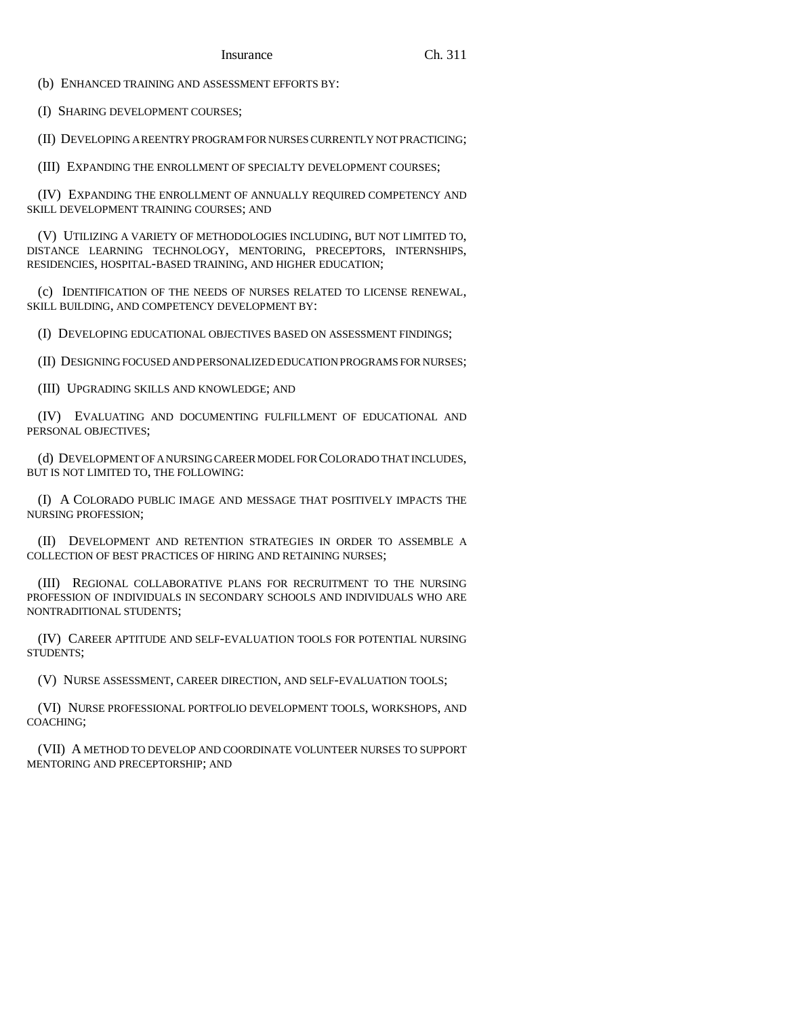(b) ENHANCED TRAINING AND ASSESSMENT EFFORTS BY:

(I) SHARING DEVELOPMENT COURSES;

(II) DEVELOPING A REENTRY PROGRAM FOR NURSES CURRENTLY NOT PRACTICING;

(III) EXPANDING THE ENROLLMENT OF SPECIALTY DEVELOPMENT COURSES;

(IV) EXPANDING THE ENROLLMENT OF ANNUALLY REQUIRED COMPETENCY AND SKILL DEVELOPMENT TRAINING COURSES; AND

(V) UTILIZING A VARIETY OF METHODOLOGIES INCLUDING, BUT NOT LIMITED TO, DISTANCE LEARNING TECHNOLOGY, MENTORING, PRECEPTORS, INTERNSHIPS, RESIDENCIES, HOSPITAL-BASED TRAINING, AND HIGHER EDUCATION;

(c) IDENTIFICATION OF THE NEEDS OF NURSES RELATED TO LICENSE RENEWAL, SKILL BUILDING, AND COMPETENCY DEVELOPMENT BY:

(I) DEVELOPING EDUCATIONAL OBJECTIVES BASED ON ASSESSMENT FINDINGS;

(II) DESIGNING FOCUSED AND PERSONALIZED EDUCATION PROGRAMS FOR NURSES;

(III) UPGRADING SKILLS AND KNOWLEDGE; AND

(IV) EVALUATING AND DOCUMENTING FULFILLMENT OF EDUCATIONAL AND PERSONAL OBJECTIVES;

(d) DEVELOPMENT OF A NURSING CAREER MODEL FOR COLORADO THAT INCLUDES, BUT IS NOT LIMITED TO, THE FOLLOWING:

(I) A COLORADO PUBLIC IMAGE AND MESSAGE THAT POSITIVELY IMPACTS THE NURSING PROFESSION;

(II) DEVELOPMENT AND RETENTION STRATEGIES IN ORDER TO ASSEMBLE A COLLECTION OF BEST PRACTICES OF HIRING AND RETAINING NURSES;

(III) REGIONAL COLLABORATIVE PLANS FOR RECRUITMENT TO THE NURSING PROFESSION OF INDIVIDUALS IN SECONDARY SCHOOLS AND INDIVIDUALS WHO ARE NONTRADITIONAL STUDENTS;

(IV) CAREER APTITUDE AND SELF-EVALUATION TOOLS FOR POTENTIAL NURSING STUDENTS;

(V) NURSE ASSESSMENT, CAREER DIRECTION, AND SELF-EVALUATION TOOLS;

(VI) NURSE PROFESSIONAL PORTFOLIO DEVELOPMENT TOOLS, WORKSHOPS, AND COACHING;

(VII) A METHOD TO DEVELOP AND COORDINATE VOLUNTEER NURSES TO SUPPORT MENTORING AND PRECEPTORSHIP; AND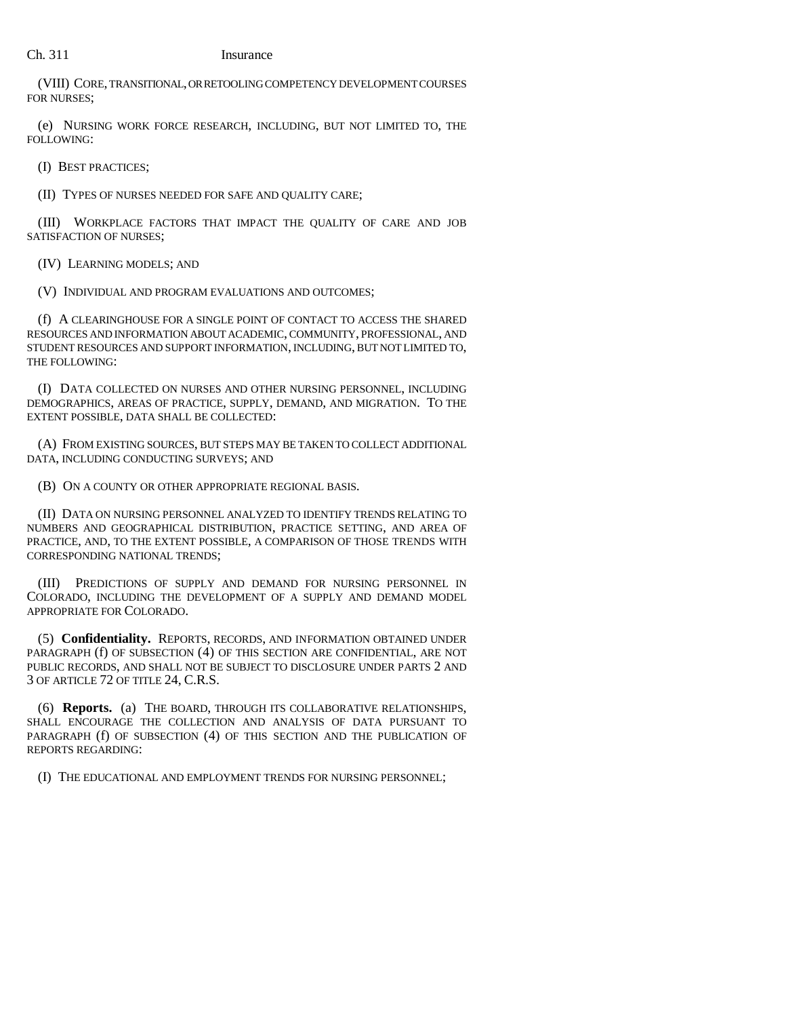(VIII) CORE, TRANSITIONAL, OR RETOOLING COMPETENCY DEVELOPMENT COURSES FOR NURSES;

(e) NURSING WORK FORCE RESEARCH, INCLUDING, BUT NOT LIMITED TO, THE FOLLOWING:

(I) BEST PRACTICES;

(II) TYPES OF NURSES NEEDED FOR SAFE AND QUALITY CARE;

(III) WORKPLACE FACTORS THAT IMPACT THE QUALITY OF CARE AND JOB SATISFACTION OF NURSES;

(IV) LEARNING MODELS; AND

(V) INDIVIDUAL AND PROGRAM EVALUATIONS AND OUTCOMES;

(f) A CLEARINGHOUSE FOR A SINGLE POINT OF CONTACT TO ACCESS THE SHARED RESOURCES AND INFORMATION ABOUT ACADEMIC, COMMUNITY, PROFESSIONAL, AND STUDENT RESOURCES AND SUPPORT INFORMATION, INCLUDING, BUT NOT LIMITED TO, THE FOLLOWING:

(I) DATA COLLECTED ON NURSES AND OTHER NURSING PERSONNEL, INCLUDING DEMOGRAPHICS, AREAS OF PRACTICE, SUPPLY, DEMAND, AND MIGRATION. TO THE EXTENT POSSIBLE, DATA SHALL BE COLLECTED:

(A) FROM EXISTING SOURCES, BUT STEPS MAY BE TAKEN TO COLLECT ADDITIONAL DATA, INCLUDING CONDUCTING SURVEYS; AND

(B) ON A COUNTY OR OTHER APPROPRIATE REGIONAL BASIS.

(II) DATA ON NURSING PERSONNEL ANALYZED TO IDENTIFY TRENDS RELATING TO NUMBERS AND GEOGRAPHICAL DISTRIBUTION, PRACTICE SETTING, AND AREA OF PRACTICE, AND, TO THE EXTENT POSSIBLE, A COMPARISON OF THOSE TRENDS WITH CORRESPONDING NATIONAL TRENDS;

(III) PREDICTIONS OF SUPPLY AND DEMAND FOR NURSING PERSONNEL IN COLORADO, INCLUDING THE DEVELOPMENT OF A SUPPLY AND DEMAND MODEL APPROPRIATE FOR COLORADO.

(5) **Confidentiality.** REPORTS, RECORDS, AND INFORMATION OBTAINED UNDER PARAGRAPH (f) OF SUBSECTION (4) OF THIS SECTION ARE CONFIDENTIAL, ARE NOT PUBLIC RECORDS, AND SHALL NOT BE SUBJECT TO DISCLOSURE UNDER PARTS 2 AND 3 OF ARTICLE 72 OF TITLE 24, C.R.S.

(6) **Reports.** (a) THE BOARD, THROUGH ITS COLLABORATIVE RELATIONSHIPS, SHALL ENCOURAGE THE COLLECTION AND ANALYSIS OF DATA PURSUANT TO PARAGRAPH (f) OF SUBSECTION (4) OF THIS SECTION AND THE PUBLICATION OF REPORTS REGARDING:

(I) THE EDUCATIONAL AND EMPLOYMENT TRENDS FOR NURSING PERSONNEL;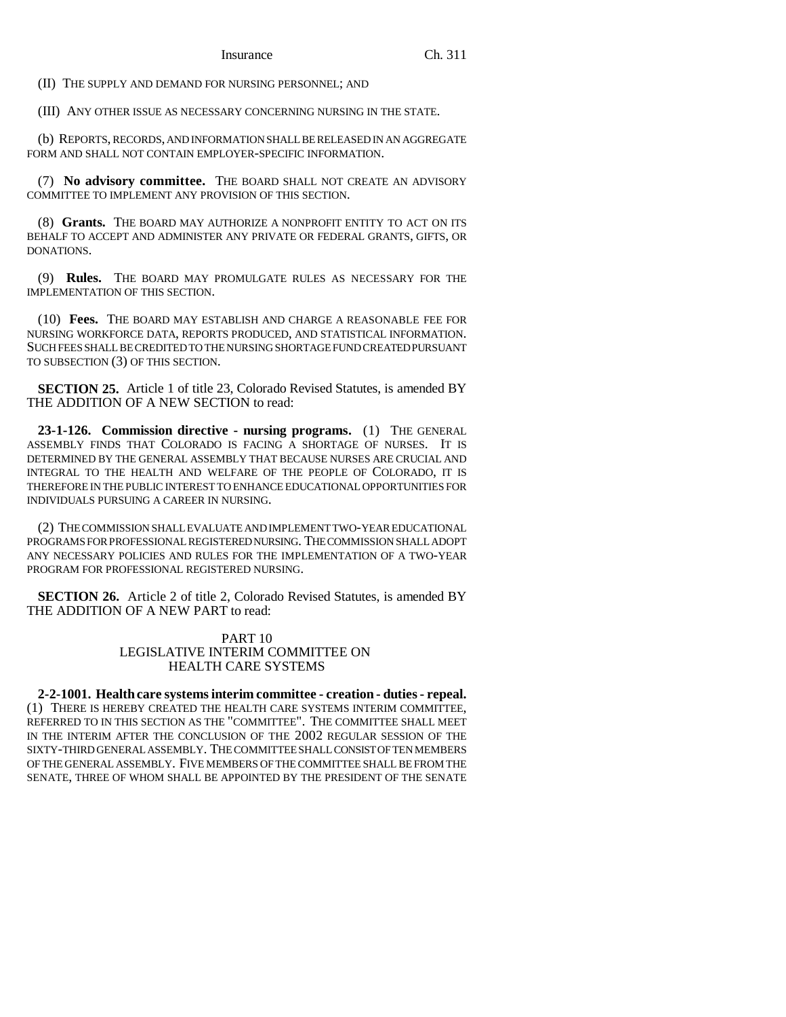(II) THE SUPPLY AND DEMAND FOR NURSING PERSONNEL; AND

(III) ANY OTHER ISSUE AS NECESSARY CONCERNING NURSING IN THE STATE.

(b) REPORTS, RECORDS, AND INFORMATION SHALL BE RELEASED IN AN AGGREGATE FORM AND SHALL NOT CONTAIN EMPLOYER-SPECIFIC INFORMATION.

(7) **No advisory committee.** THE BOARD SHALL NOT CREATE AN ADVISORY COMMITTEE TO IMPLEMENT ANY PROVISION OF THIS SECTION.

(8) **Grants.** THE BOARD MAY AUTHORIZE A NONPROFIT ENTITY TO ACT ON ITS BEHALF TO ACCEPT AND ADMINISTER ANY PRIVATE OR FEDERAL GRANTS, GIFTS, OR DONATIONS.

(9) **Rules.** THE BOARD MAY PROMULGATE RULES AS NECESSARY FOR THE IMPLEMENTATION OF THIS SECTION.

(10) **Fees.** THE BOARD MAY ESTABLISH AND CHARGE A REASONABLE FEE FOR NURSING WORKFORCE DATA, REPORTS PRODUCED, AND STATISTICAL INFORMATION. SUCH FEES SHALL BE CREDITED TO THE NURSING SHORTAGE FUND CREATED PURSUANT TO SUBSECTION (3) OF THIS SECTION.

**SECTION 25.** Article 1 of title 23, Colorado Revised Statutes, is amended BY THE ADDITION OF A NEW SECTION to read:

**23-1-126. Commission directive - nursing programs.** (1) THE GENERAL ASSEMBLY FINDS THAT COLORADO IS FACING A SHORTAGE OF NURSES. IT IS DETERMINED BY THE GENERAL ASSEMBLY THAT BECAUSE NURSES ARE CRUCIAL AND INTEGRAL TO THE HEALTH AND WELFARE OF THE PEOPLE OF COLORADO, IT IS THEREFORE IN THE PUBLIC INTEREST TO ENHANCE EDUCATIONAL OPPORTUNITIES FOR INDIVIDUALS PURSUING A CAREER IN NURSING.

(2) THE COMMISSION SHALL EVALUATE AND IMPLEMENT TWO-YEAR EDUCATIONAL PROGRAMS FOR PROFESSIONAL REGISTERED NURSING. THE COMMISSION SHALL ADOPT ANY NECESSARY POLICIES AND RULES FOR THE IMPLEMENTATION OF A TWO-YEAR PROGRAM FOR PROFESSIONAL REGISTERED NURSING.

**SECTION 26.** Article 2 of title 2. Colorado Revised Statutes, is amended BY THE ADDITION OF A NEW PART to read:

### PART 10 LEGISLATIVE INTERIM COMMITTEE ON HEALTH CARE SYSTEMS

**2-2-1001. Health care systems interim committee - creation - duties - repeal.** (1) THERE IS HEREBY CREATED THE HEALTH CARE SYSTEMS INTERIM COMMITTEE, REFERRED TO IN THIS SECTION AS THE "COMMITTEE". THE COMMITTEE SHALL MEET IN THE INTERIM AFTER THE CONCLUSION OF THE 2002 REGULAR SESSION OF THE SIXTY-THIRD GENERAL ASSEMBLY. THE COMMITTEE SHALL CONSIST OF TEN MEMBERS OF THE GENERAL ASSEMBLY. FIVE MEMBERS OF THE COMMITTEE SHALL BE FROM THE SENATE, THREE OF WHOM SHALL BE APPOINTED BY THE PRESIDENT OF THE SENATE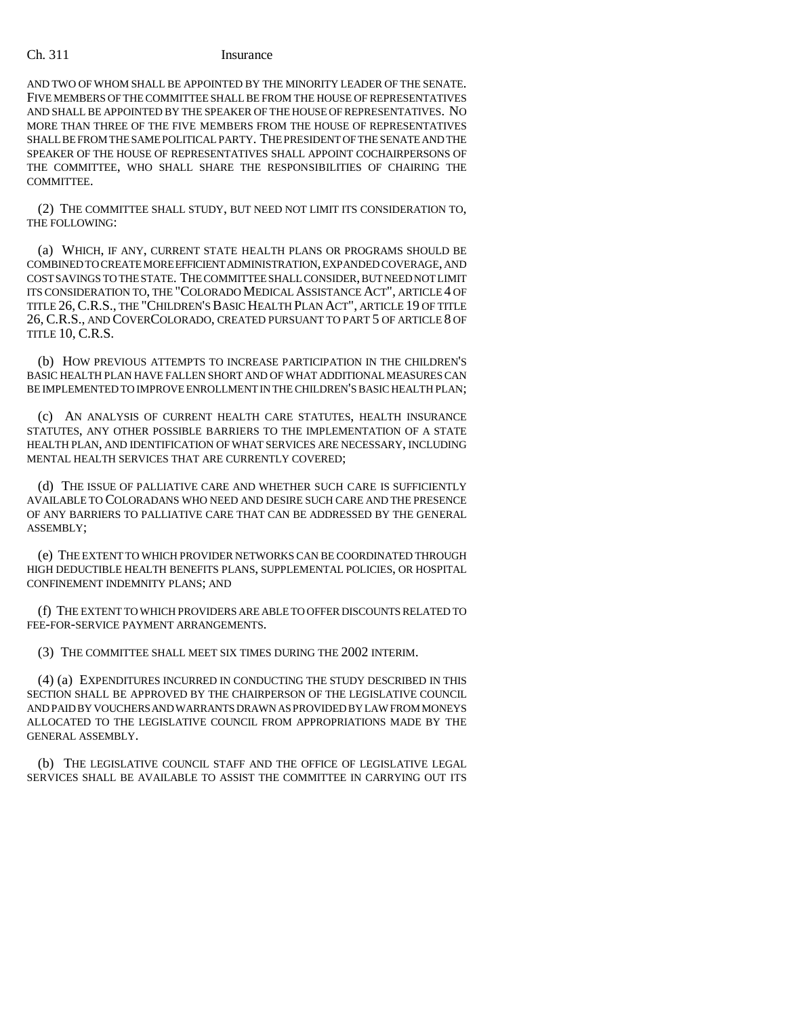AND TWO OF WHOM SHALL BE APPOINTED BY THE MINORITY LEADER OF THE SENATE. FIVE MEMBERS OF THE COMMITTEE SHALL BE FROM THE HOUSE OF REPRESENTATIVES AND SHALL BE APPOINTED BY THE SPEAKER OF THE HOUSE OF REPRESENTATIVES. NO MORE THAN THREE OF THE FIVE MEMBERS FROM THE HOUSE OF REPRESENTATIVES SHALL BE FROM THE SAME POLITICAL PARTY. THE PRESIDENT OF THE SENATE AND THE SPEAKER OF THE HOUSE OF REPRESENTATIVES SHALL APPOINT COCHAIRPERSONS OF THE COMMITTEE, WHO SHALL SHARE THE RESPONSIBILITIES OF CHAIRING THE COMMITTEE.

(2) THE COMMITTEE SHALL STUDY, BUT NEED NOT LIMIT ITS CONSIDERATION TO, THE FOLLOWING:

(a) WHICH, IF ANY, CURRENT STATE HEALTH PLANS OR PROGRAMS SHOULD BE COMBINED TO CREATE MORE EFFICIENT ADMINISTRATION, EXPANDED COVERAGE, AND COST SAVINGS TO THE STATE. THE COMMITTEE SHALL CONSIDER, BUT NEED NOT LIMIT ITS CONSIDERATION TO, THE "COLORADO MEDICAL ASSISTANCE ACT", ARTICLE 4 OF TITLE 26,C.R.S., THE "CHILDREN'S BASIC HEALTH PLAN ACT", ARTICLE 19 OF TITLE 26, C.R.S., AND COVERCOLORADO, CREATED PURSUANT TO PART 5 OF ARTICLE 8 OF TITLE 10, C.R.S.

(b) HOW PREVIOUS ATTEMPTS TO INCREASE PARTICIPATION IN THE CHILDREN'S BASIC HEALTH PLAN HAVE FALLEN SHORT AND OF WHAT ADDITIONAL MEASURES CAN BE IMPLEMENTED TO IMPROVE ENROLLMENT IN THE CHILDREN'S BASIC HEALTH PLAN;

(c) AN ANALYSIS OF CURRENT HEALTH CARE STATUTES, HEALTH INSURANCE STATUTES, ANY OTHER POSSIBLE BARRIERS TO THE IMPLEMENTATION OF A STATE HEALTH PLAN, AND IDENTIFICATION OF WHAT SERVICES ARE NECESSARY, INCLUDING MENTAL HEALTH SERVICES THAT ARE CURRENTLY COVERED;

(d) THE ISSUE OF PALLIATIVE CARE AND WHETHER SUCH CARE IS SUFFICIENTLY AVAILABLE TO COLORADANS WHO NEED AND DESIRE SUCH CARE AND THE PRESENCE OF ANY BARRIERS TO PALLIATIVE CARE THAT CAN BE ADDRESSED BY THE GENERAL ASSEMBLY;

(e) THE EXTENT TO WHICH PROVIDER NETWORKS CAN BE COORDINATED THROUGH HIGH DEDUCTIBLE HEALTH BENEFITS PLANS, SUPPLEMENTAL POLICIES, OR HOSPITAL CONFINEMENT INDEMNITY PLANS; AND

(f) THE EXTENT TO WHICH PROVIDERS ARE ABLE TO OFFER DISCOUNTS RELATED TO FEE-FOR-SERVICE PAYMENT ARRANGEMENTS.

(3) THE COMMITTEE SHALL MEET SIX TIMES DURING THE 2002 INTERIM.

(4) (a) EXPENDITURES INCURRED IN CONDUCTING THE STUDY DESCRIBED IN THIS SECTION SHALL BE APPROVED BY THE CHAIRPERSON OF THE LEGISLATIVE COUNCIL AND PAID BY VOUCHERS AND WARRANTS DRAWN AS PROVIDED BY LAW FROM MONEYS ALLOCATED TO THE LEGISLATIVE COUNCIL FROM APPROPRIATIONS MADE BY THE GENERAL ASSEMBLY.

(b) THE LEGISLATIVE COUNCIL STAFF AND THE OFFICE OF LEGISLATIVE LEGAL SERVICES SHALL BE AVAILABLE TO ASSIST THE COMMITTEE IN CARRYING OUT ITS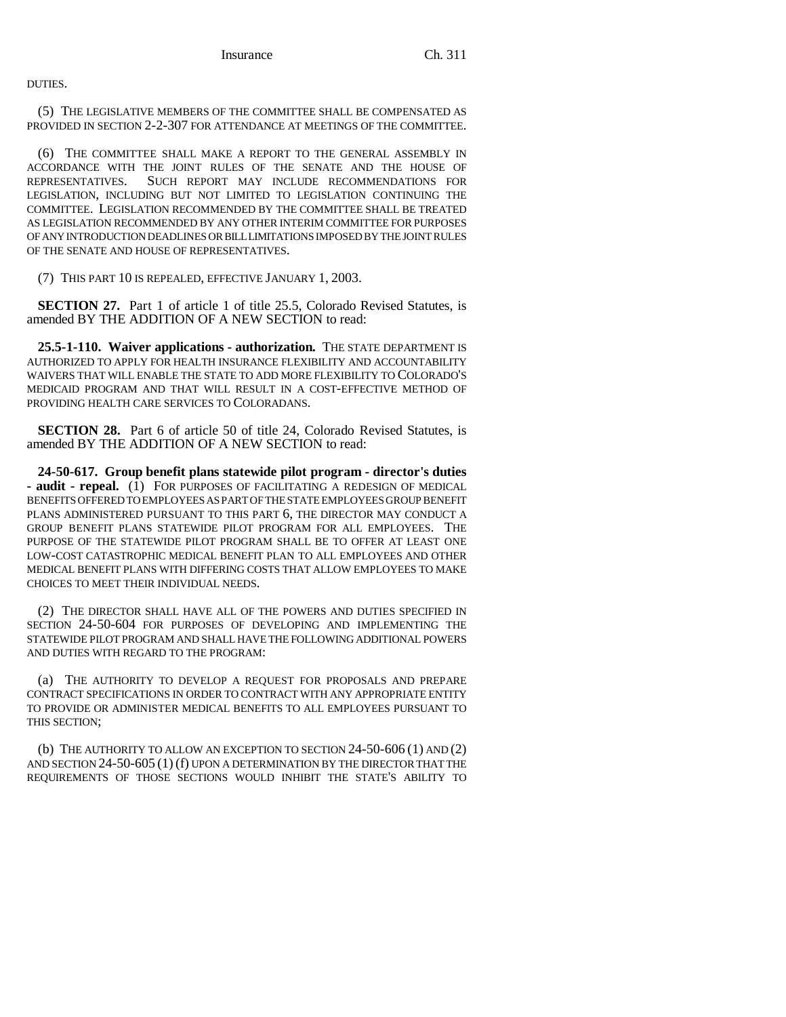DUTIES.

(5) THE LEGISLATIVE MEMBERS OF THE COMMITTEE SHALL BE COMPENSATED AS PROVIDED IN SECTION 2-2-307 FOR ATTENDANCE AT MEETINGS OF THE COMMITTEE.

(6) THE COMMITTEE SHALL MAKE A REPORT TO THE GENERAL ASSEMBLY IN ACCORDANCE WITH THE JOINT RULES OF THE SENATE AND THE HOUSE OF REPRESENTATIVES. SUCH REPORT MAY INCLUDE RECOMMENDATIONS FOR LEGISLATION, INCLUDING BUT NOT LIMITED TO LEGISLATION CONTINUING THE COMMITTEE. LEGISLATION RECOMMENDED BY THE COMMITTEE SHALL BE TREATED AS LEGISLATION RECOMMENDED BY ANY OTHER INTERIM COMMITTEE FOR PURPOSES OF ANY INTRODUCTION DEADLINES OR BILL LIMITATIONS IMPOSED BY THE JOINT RULES OF THE SENATE AND HOUSE OF REPRESENTATIVES.

(7) THIS PART 10 IS REPEALED, EFFECTIVE JANUARY 1, 2003.

**SECTION 27.** Part 1 of article 1 of title 25.5, Colorado Revised Statutes, is amended BY THE ADDITION OF A NEW SECTION to read:

**25.5-1-110. Waiver applications - authorization.** THE STATE DEPARTMENT IS AUTHORIZED TO APPLY FOR HEALTH INSURANCE FLEXIBILITY AND ACCOUNTABILITY WAIVERS THAT WILL ENABLE THE STATE TO ADD MORE FLEXIBILITY TO COLORADO'S MEDICAID PROGRAM AND THAT WILL RESULT IN A COST-EFFECTIVE METHOD OF PROVIDING HEALTH CARE SERVICES TO COLORADANS.

**SECTION 28.** Part 6 of article 50 of title 24, Colorado Revised Statutes, is amended BY THE ADDITION OF A NEW SECTION to read:

**24-50-617. Group benefit plans statewide pilot program - director's duties** - audit - repeal. (1) FOR PURPOSES OF FACILITATING A REDESIGN OF MEDICAL BENEFITS OFFERED TO EMPLOYEES AS PART OF THE STATE EMPLOYEES GROUP BENEFIT PLANS ADMINISTERED PURSUANT TO THIS PART 6, THE DIRECTOR MAY CONDUCT A GROUP BENEFIT PLANS STATEWIDE PILOT PROGRAM FOR ALL EMPLOYEES. THE PURPOSE OF THE STATEWIDE PILOT PROGRAM SHALL BE TO OFFER AT LEAST ONE LOW-COST CATASTROPHIC MEDICAL BENEFIT PLAN TO ALL EMPLOYEES AND OTHER MEDICAL BENEFIT PLANS WITH DIFFERING COSTS THAT ALLOW EMPLOYEES TO MAKE CHOICES TO MEET THEIR INDIVIDUAL NEEDS.

(2) THE DIRECTOR SHALL HAVE ALL OF THE POWERS AND DUTIES SPECIFIED IN SECTION 24-50-604 FOR PURPOSES OF DEVELOPING AND IMPLEMENTING THE STATEWIDE PILOT PROGRAM AND SHALL HAVE THE FOLLOWING ADDITIONAL POWERS AND DUTIES WITH REGARD TO THE PROGRAM:

(a) THE AUTHORITY TO DEVELOP A REQUEST FOR PROPOSALS AND PREPARE CONTRACT SPECIFICATIONS IN ORDER TO CONTRACT WITH ANY APPROPRIATE ENTITY TO PROVIDE OR ADMINISTER MEDICAL BENEFITS TO ALL EMPLOYEES PURSUANT TO THIS SECTION;

(b) THE AUTHORITY TO ALLOW AN EXCEPTION TO SECTION 24-50-606 (1) AND (2) AND SECTION 24-50-605 (1) (f) UPON A DETERMINATION BY THE DIRECTOR THAT THE REQUIREMENTS OF THOSE SECTIONS WOULD INHIBIT THE STATE'S ABILITY TO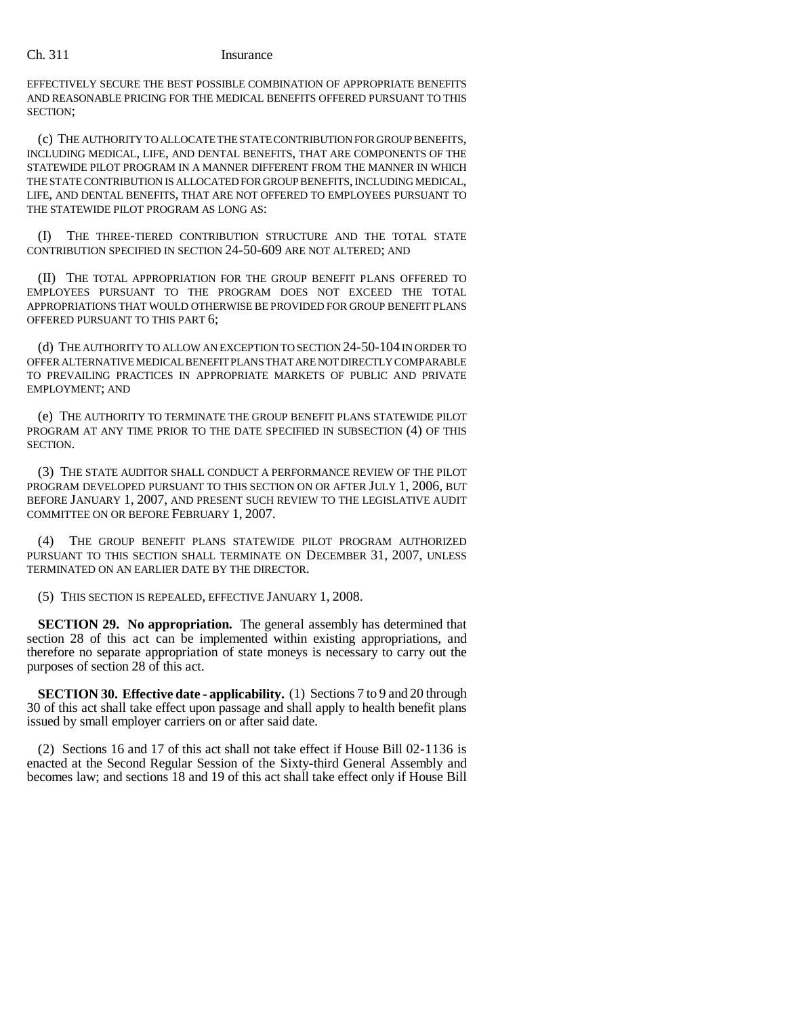EFFECTIVELY SECURE THE BEST POSSIBLE COMBINATION OF APPROPRIATE BENEFITS AND REASONABLE PRICING FOR THE MEDICAL BENEFITS OFFERED PURSUANT TO THIS SECTION;

(c) THE AUTHORITY TO ALLOCATE THE STATE CONTRIBUTION FOR GROUP BENEFITS, INCLUDING MEDICAL, LIFE, AND DENTAL BENEFITS, THAT ARE COMPONENTS OF THE STATEWIDE PILOT PROGRAM IN A MANNER DIFFERENT FROM THE MANNER IN WHICH THE STATE CONTRIBUTION IS ALLOCATED FOR GROUP BENEFITS, INCLUDING MEDICAL, LIFE, AND DENTAL BENEFITS, THAT ARE NOT OFFERED TO EMPLOYEES PURSUANT TO THE STATEWIDE PILOT PROGRAM AS LONG AS:

(I) THE THREE-TIERED CONTRIBUTION STRUCTURE AND THE TOTAL STATE CONTRIBUTION SPECIFIED IN SECTION 24-50-609 ARE NOT ALTERED; AND

(II) THE TOTAL APPROPRIATION FOR THE GROUP BENEFIT PLANS OFFERED TO EMPLOYEES PURSUANT TO THE PROGRAM DOES NOT EXCEED THE TOTAL APPROPRIATIONS THAT WOULD OTHERWISE BE PROVIDED FOR GROUP BENEFIT PLANS OFFERED PURSUANT TO THIS PART 6;

(d) THE AUTHORITY TO ALLOW AN EXCEPTION TO SECTION 24-50-104 IN ORDER TO OFFER ALTERNATIVE MEDICAL BENEFIT PLANS THAT ARE NOT DIRECTLY COMPARABLE TO PREVAILING PRACTICES IN APPROPRIATE MARKETS OF PUBLIC AND PRIVATE EMPLOYMENT; AND

(e) THE AUTHORITY TO TERMINATE THE GROUP BENEFIT PLANS STATEWIDE PILOT PROGRAM AT ANY TIME PRIOR TO THE DATE SPECIFIED IN SUBSECTION (4) OF THIS SECTION.

(3) THE STATE AUDITOR SHALL CONDUCT A PERFORMANCE REVIEW OF THE PILOT PROGRAM DEVELOPED PURSUANT TO THIS SECTION ON OR AFTER JULY 1, 2006, BUT BEFORE JANUARY 1, 2007, AND PRESENT SUCH REVIEW TO THE LEGISLATIVE AUDIT COMMITTEE ON OR BEFORE FEBRUARY 1, 2007.

(4) THE GROUP BENEFIT PLANS STATEWIDE PILOT PROGRAM AUTHORIZED PURSUANT TO THIS SECTION SHALL TERMINATE ON DECEMBER 31, 2007, UNLESS TERMINATED ON AN EARLIER DATE BY THE DIRECTOR.

(5) THIS SECTION IS REPEALED, EFFECTIVE JANUARY 1, 2008.

**SECTION 29. No appropriation.** The general assembly has determined that section 28 of this act can be implemented within existing appropriations, and therefore no separate appropriation of state moneys is necessary to carry out the purposes of section 28 of this act.

**SECTION 30. Effective date - applicability.** (1) Sections 7 to 9 and 20 through 30 of this act shall take effect upon passage and shall apply to health benefit plans issued by small employer carriers on or after said date.

(2) Sections 16 and 17 of this act shall not take effect if House Bill 02-1136 is enacted at the Second Regular Session of the Sixty-third General Assembly and becomes law; and sections 18 and 19 of this act shall take effect only if House Bill